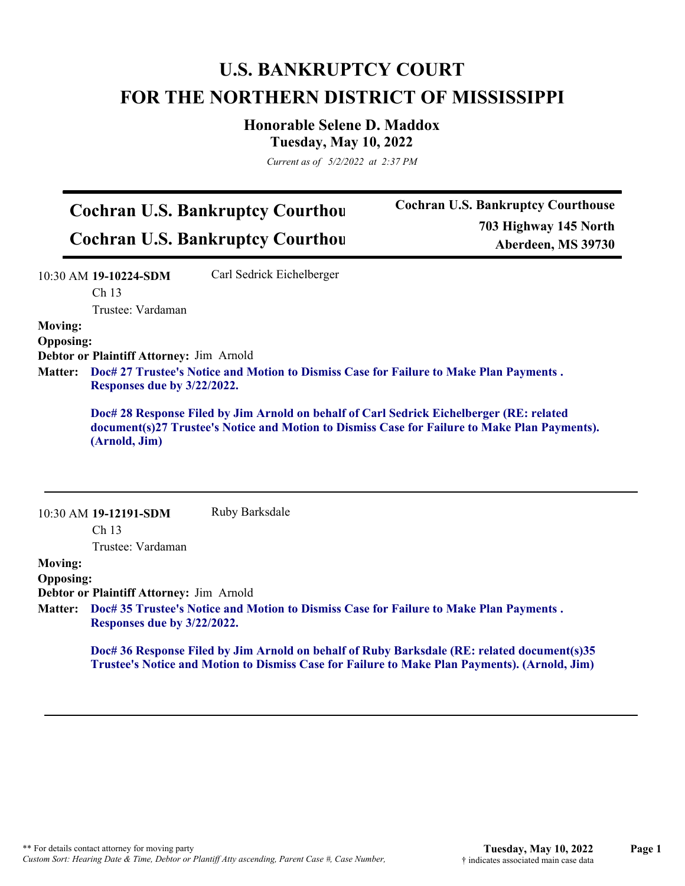## **U.S. BANKRUPTCY COURT FOR THE NORTHERN DISTRICT OF MISSISSIPPI**

#### **Honorable Selene D. Maddox Tuesday, May 10, 2022**

*Current as of 5/2/2022 at 2:37 PM*

# **Cochran U.S. Bankruptcy Courthou**

**Cochran U.S. Bankruptcy Courthou**

**Cochran U.S. Bankruptcy Courthouse 703 Highway 145 North Aberdeen, MS 39730**

|                  | 10:30 AM 19-10224-SDM                                                                                                 | Carl Sedrick Eichelberger                                                                                                                                                                 |  |
|------------------|-----------------------------------------------------------------------------------------------------------------------|-------------------------------------------------------------------------------------------------------------------------------------------------------------------------------------------|--|
|                  | Ch <sub>13</sub>                                                                                                      |                                                                                                                                                                                           |  |
|                  | Trustee: Vardaman                                                                                                     |                                                                                                                                                                                           |  |
| <b>Moving:</b>   |                                                                                                                       |                                                                                                                                                                                           |  |
| <b>Opposing:</b> |                                                                                                                       |                                                                                                                                                                                           |  |
|                  | Debtor or Plaintiff Attorney: Jim Arnold                                                                              |                                                                                                                                                                                           |  |
| <b>Matter:</b>   | Doc# 27 Trustee's Notice and Motion to Dismiss Case for Failure to Make Plan Payments.<br>Responses due by 3/22/2022. |                                                                                                                                                                                           |  |
|                  | (Arnold, Jim)                                                                                                         | Doc# 28 Response Filed by Jim Arnold on behalf of Carl Sedrick Eichelberger (RE: related<br>document(s)27 Trustee's Notice and Motion to Dismiss Case for Failure to Make Plan Payments). |  |
|                  | 10:30 AM 19-12191-SDM                                                                                                 | Ruby Barksdale                                                                                                                                                                            |  |
|                  | Ch <sub>13</sub>                                                                                                      |                                                                                                                                                                                           |  |
|                  | Trustee: Vardaman                                                                                                     |                                                                                                                                                                                           |  |
| <b>Moving:</b>   |                                                                                                                       |                                                                                                                                                                                           |  |
| <b>Opposing:</b> |                                                                                                                       |                                                                                                                                                                                           |  |
|                  | Debtor or Plaintiff Attorney: Jim Arnold                                                                              |                                                                                                                                                                                           |  |
| <b>Matter:</b>   | Responses due by 3/22/2022.                                                                                           | Doc# 35 Trustee's Notice and Motion to Dismiss Case for Failure to Make Plan Payments.                                                                                                    |  |

**Doc# 36 Response Filed by Jim Arnold on behalf of Ruby Barksdale (RE: related document(s)35 Trustee's Notice and Motion to Dismiss Case for Failure to Make Plan Payments). (Arnold, Jim)**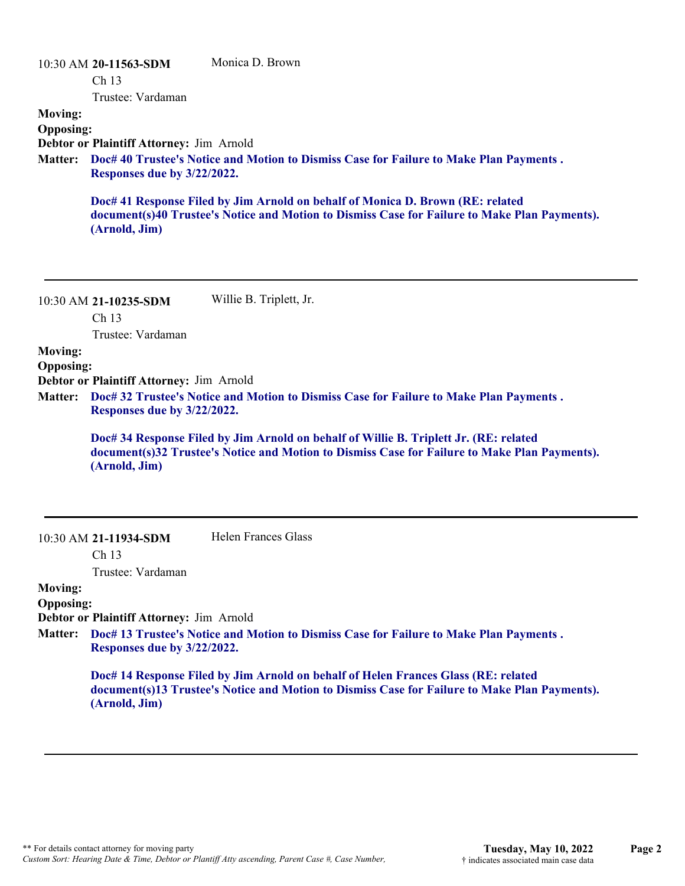10:30 AM **20-11563-SDM**  Ch 13 Trustee: Vardaman Monica D. Brown **Moving: Opposing: Debtor or Plaintiff Attorney:** Jim Arnold **Doc# 40 Trustee's Notice and Motion to Dismiss Case for Failure to Make Plan Payments . Matter: Responses due by 3/22/2022. Doc# 41 Response Filed by Jim Arnold on behalf of Monica D. Brown (RE: related document(s)40 Trustee's Notice and Motion to Dismiss Case for Failure to Make Plan Payments). (Arnold, Jim)**

10:30 AM **21-10235-SDM**  Ch 13 Trustee: Vardaman Willie B. Triplett, Jr.

**Moving:**

**Opposing:**

**Debtor or Plaintiff Attorney:** Jim Arnold

**Doc# 32 Trustee's Notice and Motion to Dismiss Case for Failure to Make Plan Payments . Matter: Responses due by 3/22/2022.**

**Doc# 34 Response Filed by Jim Arnold on behalf of Willie B. Triplett Jr. (RE: related document(s)32 Trustee's Notice and Motion to Dismiss Case for Failure to Make Plan Payments). (Arnold, Jim)**

10:30 AM **21-11934-SDM**  Helen Frances Glass

Ch 13

Trustee: Vardaman

#### **Moving: Opposing:**

**Debtor or Plaintiff Attorney:** Jim Arnold

**Doc# 13 Trustee's Notice and Motion to Dismiss Case for Failure to Make Plan Payments . Matter: Responses due by 3/22/2022.**

> **Doc# 14 Response Filed by Jim Arnold on behalf of Helen Frances Glass (RE: related document(s)13 Trustee's Notice and Motion to Dismiss Case for Failure to Make Plan Payments). (Arnold, Jim)**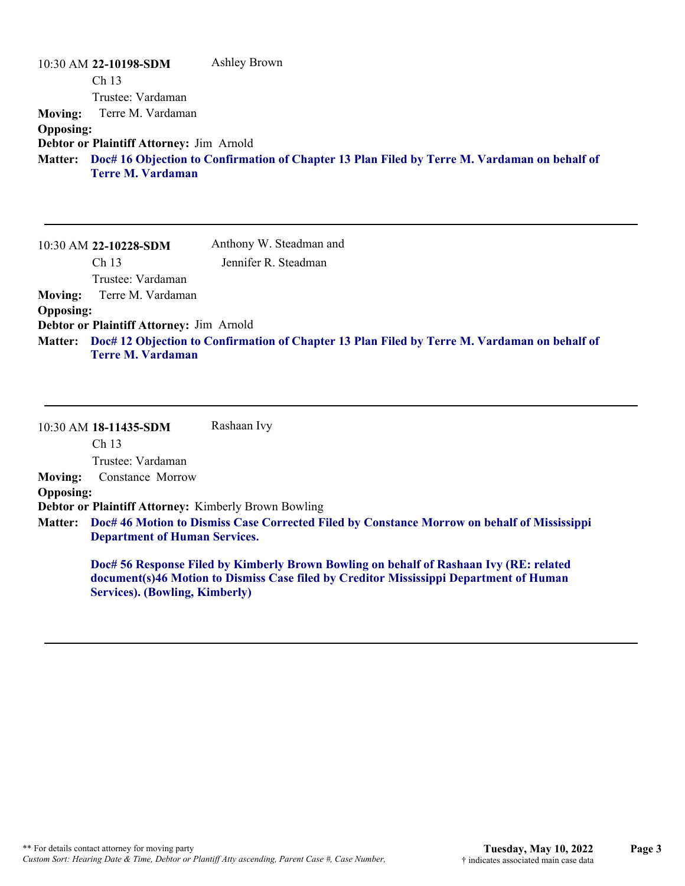|                  | 10:30 AM 22-10198-SDM                    | Ashley Brown                                                                                         |
|------------------|------------------------------------------|------------------------------------------------------------------------------------------------------|
|                  | Ch <sub>13</sub>                         |                                                                                                      |
|                  | Trustee: Vardaman                        |                                                                                                      |
|                  | <b>Moving:</b> Terre M. Vardaman         |                                                                                                      |
| <b>Opposing:</b> |                                          |                                                                                                      |
|                  | Debtor or Plaintiff Attorney: Jim Arnold |                                                                                                      |
|                  | <b>Terre M. Vardaman</b>                 | Matter: Doc# 16 Objection to Confirmation of Chapter 13 Plan Filed by Terre M. Vardaman on behalf of |

|                  | 10:30 AM 22-10228-SDM                    | Anthony W. Steadman and                                                                              |
|------------------|------------------------------------------|------------------------------------------------------------------------------------------------------|
|                  | Ch <sub>13</sub>                         | Jennifer R. Steadman                                                                                 |
|                  | Trustee: Vardaman                        |                                                                                                      |
| <b>Moving:</b>   | Terre M. Vardaman                        |                                                                                                      |
| <b>Opposing:</b> |                                          |                                                                                                      |
|                  | Debtor or Plaintiff Attorney: Jim Arnold |                                                                                                      |
|                  |                                          | Matter: Doc# 12 Objection to Confirmation of Chapter 13 Plan Filed by Terre M. Vardaman on behalf of |
|                  | <b>Terre M. Vardaman</b>                 |                                                                                                      |

|                  | 10:30 AM 18-11435-SDM                                       | Rashaan Ivy                                                                                                                                                                      |
|------------------|-------------------------------------------------------------|----------------------------------------------------------------------------------------------------------------------------------------------------------------------------------|
|                  | Ch <sub>13</sub>                                            |                                                                                                                                                                                  |
|                  | Trustee: Vardaman                                           |                                                                                                                                                                                  |
| <b>Moving:</b>   | Constance Morrow                                            |                                                                                                                                                                                  |
| <b>Opposing:</b> |                                                             |                                                                                                                                                                                  |
|                  | <b>Debtor or Plaintiff Attorney: Kimberly Brown Bowling</b> |                                                                                                                                                                                  |
|                  |                                                             | Matter: Doc# 46 Motion to Dismiss Case Corrected Filed by Constance Morrow on behalf of Mississippi                                                                              |
|                  | <b>Department of Human Services.</b>                        |                                                                                                                                                                                  |
|                  |                                                             | Doc# 56 Response Filed by Kimberly Brown Bowling on behalf of Rashaan Ivy (RE: related<br>document(s)46 Motion to Dismiss Case filed by Creditor Mississippi Department of Human |

**Services). (Bowling, Kimberly)**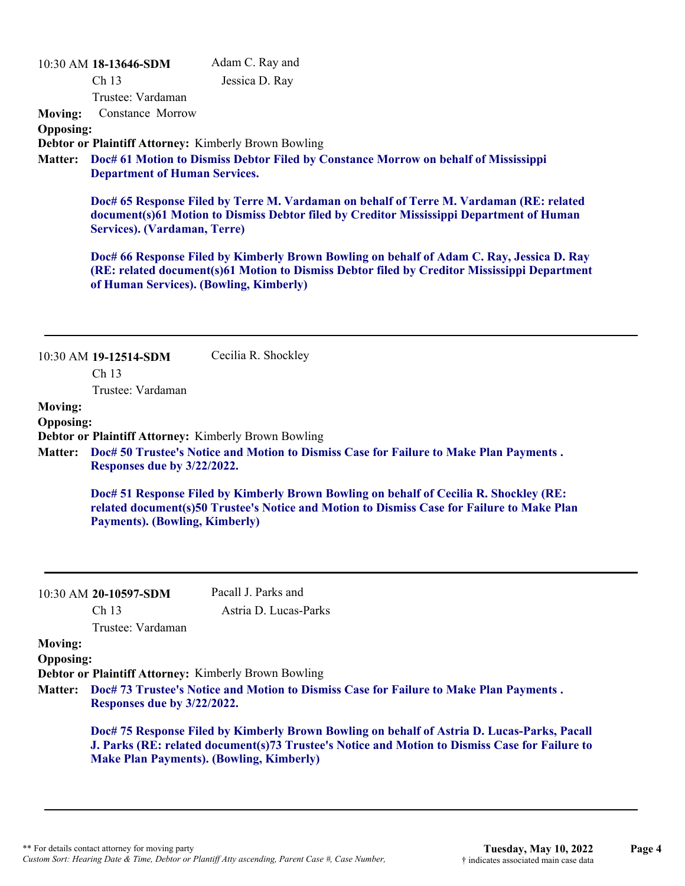|                                    | 10:30 AM 18-13646-SDM                   | Adam C. Ray and                                                                                                                                                                                                                                  |
|------------------------------------|-----------------------------------------|--------------------------------------------------------------------------------------------------------------------------------------------------------------------------------------------------------------------------------------------------|
|                                    | Ch 13                                   | Jessica D. Ray                                                                                                                                                                                                                                   |
|                                    | Trustee: Vardaman                       |                                                                                                                                                                                                                                                  |
| <b>Moving:</b>                     | Constance Morrow                        |                                                                                                                                                                                                                                                  |
| <b>Opposing:</b>                   |                                         |                                                                                                                                                                                                                                                  |
|                                    |                                         | Debtor or Plaintiff Attorney: Kimberly Brown Bowling                                                                                                                                                                                             |
| <b>Matter:</b>                     | <b>Department of Human Services.</b>    | Doc# 61 Motion to Dismiss Debtor Filed by Constance Morrow on behalf of Mississippi                                                                                                                                                              |
|                                    | Services). (Vardaman, Terre)            | Doc# 65 Response Filed by Terre M. Vardaman on behalf of Terre M. Vardaman (RE: related<br>document(s)61 Motion to Dismiss Debtor filed by Creditor Mississippi Department of Human                                                              |
|                                    | of Human Services). (Bowling, Kimberly) | Doc# 66 Response Filed by Kimberly Brown Bowling on behalf of Adam C. Ray, Jessica D. Ray<br>(RE: related document(s)61 Motion to Dismiss Debtor filed by Creditor Mississippi Department                                                        |
|                                    | 10:30 AM 19-12514-SDM                   | Cecilia R. Shockley                                                                                                                                                                                                                              |
|                                    | Ch <sub>13</sub>                        |                                                                                                                                                                                                                                                  |
|                                    | Trustee: Vardaman                       |                                                                                                                                                                                                                                                  |
| <b>Moving:</b>                     |                                         |                                                                                                                                                                                                                                                  |
| <b>Opposing:</b>                   |                                         |                                                                                                                                                                                                                                                  |
|                                    |                                         | <b>Debtor or Plaintiff Attorney: Kimberly Brown Bowling</b>                                                                                                                                                                                      |
| <b>Matter:</b>                     | Responses due by 3/22/2022.             | Doc# 50 Trustee's Notice and Motion to Dismiss Case for Failure to Make Plan Payments.                                                                                                                                                           |
|                                    |                                         |                                                                                                                                                                                                                                                  |
|                                    | <b>Payments). (Bowling, Kimberly)</b>   | Doc# 51 Response Filed by Kimberly Brown Bowling on behalf of Cecilia R. Shockley (RE:<br>related document(s)50 Trustee's Notice and Motion to Dismiss Case for Failure to Make Plan                                                             |
|                                    | 10:30 AM 20-10597-SDM                   | Pacall J. Parks and                                                                                                                                                                                                                              |
|                                    | Ch 13<br>Trustee: Vardaman              | Astria D. Lucas-Parks                                                                                                                                                                                                                            |
| <b>Moving:</b><br><b>Opposing:</b> |                                         |                                                                                                                                                                                                                                                  |
|                                    |                                         | Debtor or Plaintiff Attorney: Kimberly Brown Bowling                                                                                                                                                                                             |
| <b>Matter:</b>                     | Responses due by 3/22/2022.             | Doc# 73 Trustee's Notice and Motion to Dismiss Case for Failure to Make Plan Payments.                                                                                                                                                           |
|                                    |                                         | Doc# 75 Response Filed by Kimberly Brown Bowling on behalf of Astria D. Lucas-Parks, Pacall<br>J. Parks (RE: related document(s)73 Trustee's Notice and Motion to Dismiss Case for Failure to<br><b>Make Plan Payments). (Bowling, Kimberly)</b> |
|                                    |                                         |                                                                                                                                                                                                                                                  |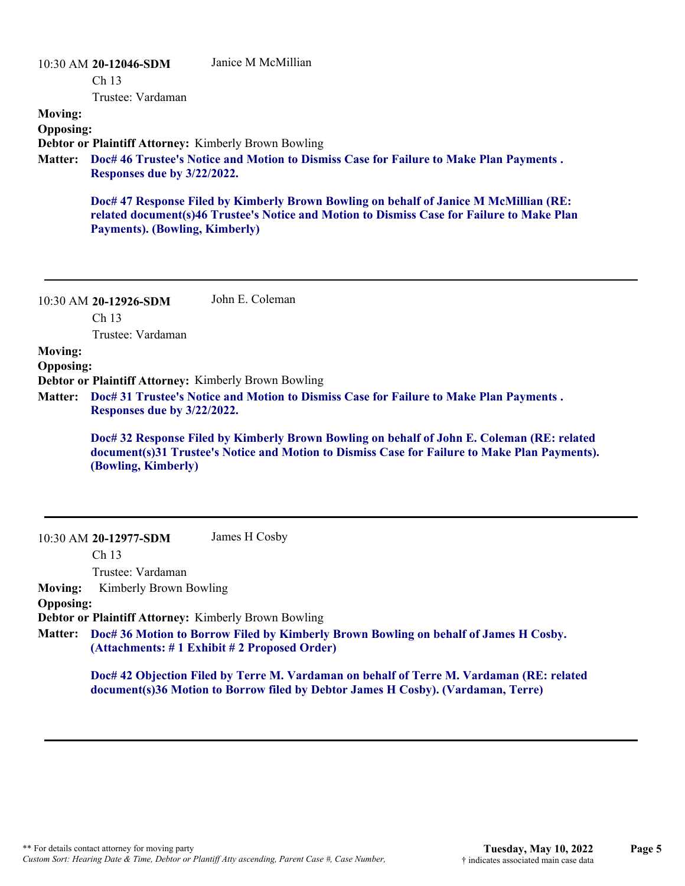|                                               | 10:30 AM 20-12046-SDM<br>Ch <sub>13</sub><br>Trustee: Vardaman | Janice M McMillian                                                                                                                                                                          |
|-----------------------------------------------|----------------------------------------------------------------|---------------------------------------------------------------------------------------------------------------------------------------------------------------------------------------------|
| <b>Moving:</b><br><b>Opposing:</b><br>Matter: | Responses due by 3/22/2022.                                    | <b>Debtor or Plaintiff Attorney: Kimberly Brown Bowling</b><br>Doc# 46 Trustee's Notice and Motion to Dismiss Case for Failure to Make Plan Payments.                                       |
|                                               | <b>Payments). (Bowling, Kimberly)</b>                          | Doc# 47 Response Filed by Kimberly Brown Bowling on behalf of Janice M McMillian (RE:<br>related document(s)46 Trustee's Notice and Motion to Dismiss Case for Failure to Make Plan         |
|                                               | 10:30 AM 20-12926-SDM<br>Ch <sub>13</sub><br>Trustee: Vardaman | John E. Coleman                                                                                                                                                                             |
| <b>Moving:</b><br><b>Opposing:</b><br>Matter: | Responses due by 3/22/2022.                                    | <b>Debtor or Plaintiff Attorney: Kimberly Brown Bowling</b><br>Doc# 31 Trustee's Notice and Motion to Dismiss Case for Failure to Make Plan Payments.                                       |
|                                               | (Bowling, Kimberly)                                            | Doc# 32 Response Filed by Kimberly Brown Bowling on behalf of John E. Coleman (RE: related<br>document(s)31 Trustee's Notice and Motion to Dismiss Case for Failure to Make Plan Payments). |
|                                               | 10:30 AM 20-12977-SDM<br>Ch 13<br>Trustee: Vardaman            | James H Cosby                                                                                                                                                                               |

**Moving:** Kimberly Brown Bowling

#### **Opposing:**

**Debtor or Plaintiff Attorney:** Kimberly Brown Bowling

**Doc# 36 Motion to Borrow Filed by Kimberly Brown Bowling on behalf of James H Cosby. Matter: (Attachments: # 1 Exhibit # 2 Proposed Order)**

**Doc# 42 Objection Filed by Terre M. Vardaman on behalf of Terre M. Vardaman (RE: related document(s)36 Motion to Borrow filed by Debtor James H Cosby). (Vardaman, Terre)**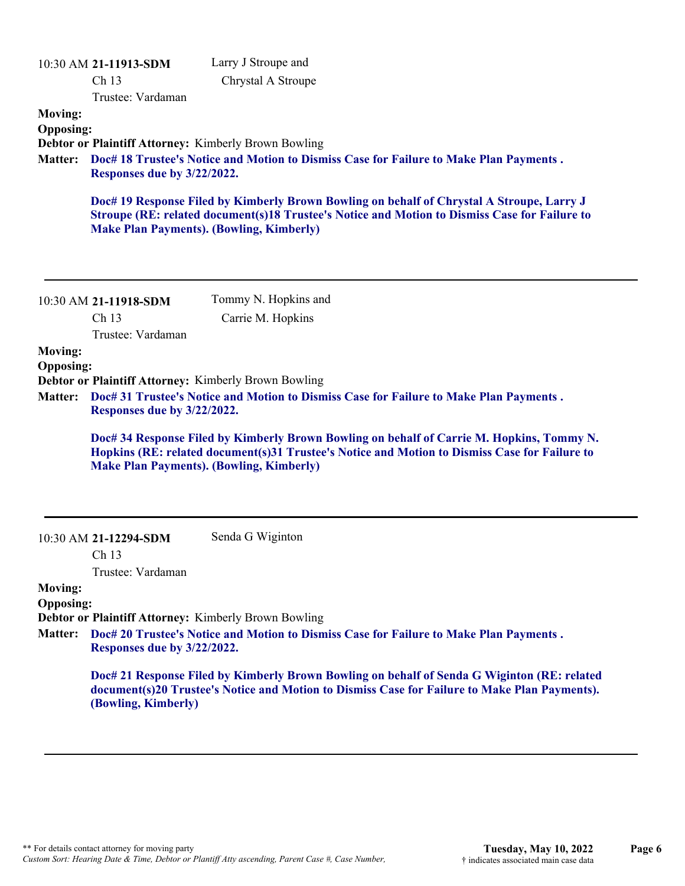|                                                                                                                                                                                                                                                                                                                                                                                                                                                                                                             | 10:30 AM 21-11913-SDM<br>Ch <sub>13</sub><br>Trustee: Vardaman | Larry J Stroupe and<br>Chrystal A Stroupe                                                                                                                                                    |
|-------------------------------------------------------------------------------------------------------------------------------------------------------------------------------------------------------------------------------------------------------------------------------------------------------------------------------------------------------------------------------------------------------------------------------------------------------------------------------------------------------------|----------------------------------------------------------------|----------------------------------------------------------------------------------------------------------------------------------------------------------------------------------------------|
| <b>Moving:</b><br><b>Opposing:</b><br><b>Matter:</b>                                                                                                                                                                                                                                                                                                                                                                                                                                                        | Responses due by 3/22/2022.                                    | <b>Debtor or Plaintiff Attorney: Kimberly Brown Bowling</b><br>Doc# 18 Trustee's Notice and Motion to Dismiss Case for Failure to Make Plan Payments.                                        |
|                                                                                                                                                                                                                                                                                                                                                                                                                                                                                                             | <b>Make Plan Payments). (Bowling, Kimberly)</b>                | Doc# 19 Response Filed by Kimberly Brown Bowling on behalf of Chrystal A Stroupe, Larry J<br>Stroupe (RE: related document(s)18 Trustee's Notice and Motion to Dismiss Case for Failure to   |
|                                                                                                                                                                                                                                                                                                                                                                                                                                                                                                             | 10:30 AM 21-11918-SDM<br>Ch <sub>13</sub>                      | Tommy N. Hopkins and<br>Carrie M. Hopkins                                                                                                                                                    |
| Trustee: Vardaman<br><b>Moving:</b><br><b>Opposing:</b><br>Debtor or Plaintiff Attorney: Kimberly Brown Bowling<br>Doc# 31 Trustee's Notice and Motion to Dismiss Case for Failure to Make Plan Payments.<br><b>Matter:</b><br>Responses due by 3/22/2022.<br>Doc# 34 Response Filed by Kimberly Brown Bowling on behalf of Carrie M. Hopkins, Tommy N.<br>Hopkins (RE: related document(s)31 Trustee's Notice and Motion to Dismiss Case for Failure to<br><b>Make Plan Payments). (Bowling, Kimberly)</b> |                                                                |                                                                                                                                                                                              |
|                                                                                                                                                                                                                                                                                                                                                                                                                                                                                                             | 10:30 AM 21-12294-SDM<br>Ch 13                                 | Senda G Wiginton                                                                                                                                                                             |
| <b>Moving:</b><br><b>Opposing:</b><br><b>Matter:</b>                                                                                                                                                                                                                                                                                                                                                                                                                                                        | Trustee: Vardaman<br>Responses due by 3/22/2022.               | <b>Debtor or Plaintiff Attorney: Kimberly Brown Bowling</b><br>Doc# 20 Trustee's Notice and Motion to Dismiss Case for Failure to Make Plan Payments.                                        |
|                                                                                                                                                                                                                                                                                                                                                                                                                                                                                                             | (Bowling, Kimberly)                                            | Doc# 21 Response Filed by Kimberly Brown Bowling on behalf of Senda G Wiginton (RE: related<br>document(s)20 Trustee's Notice and Motion to Dismiss Case for Failure to Make Plan Payments). |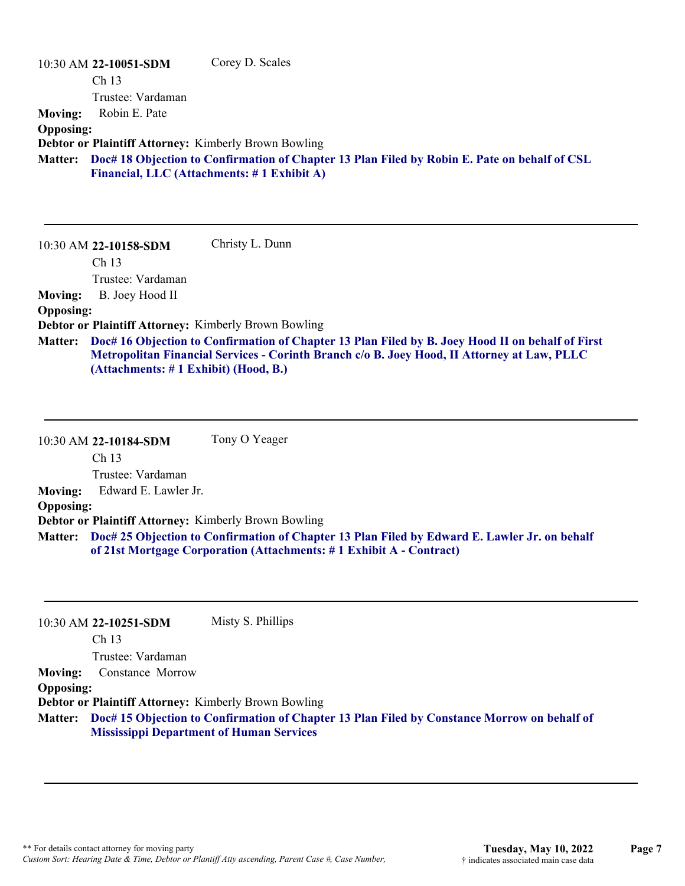|                  | 10:30 AM 22-10051-SDM   | Corey D. Scales                                                                                                                            |
|------------------|-------------------------|--------------------------------------------------------------------------------------------------------------------------------------------|
|                  | Ch <sub>13</sub>        |                                                                                                                                            |
|                  | Trustee: Vardaman       |                                                                                                                                            |
| <b>Moving:</b>   | Robin E. Pate           |                                                                                                                                            |
| <b>Opposing:</b> |                         |                                                                                                                                            |
|                  |                         | <b>Debtor or Plaintiff Attorney: Kimberly Brown Bowling</b>                                                                                |
| <b>Matter:</b>   |                         | Doc# 18 Objection to Confirmation of Chapter 13 Plan Filed by Robin E. Pate on behalf of CSL<br>Financial, LLC (Attachments: #1 Exhibit A) |
|                  | $10:30$ AM 22-10158-SDM | Christy L. Dunn                                                                                                                            |

Ch 13

Trustee: Vardaman

**Moving:** B. Joey Hood II

**Opposing:**

**Debtor or Plaintiff Attorney:** Kimberly Brown Bowling

**Doc# 16 Objection to Confirmation of Chapter 13 Plan Filed by B. Joey Hood II on behalf of First Matter: Metropolitan Financial Services - Corinth Branch c/o B. Joey Hood, II Attorney at Law, PLLC (Attachments: # 1 Exhibit) (Hood, B.)**

10:30 AM **22-10184-SDM**  Ch 13 Trustee: Vardaman Tony O Yeager **Moving:** Edward E. Lawler Jr. **Opposing: Debtor or Plaintiff Attorney:** Kimberly Brown Bowling **Doc# 25 Objection to Confirmation of Chapter 13 Plan Filed by Edward E. Lawler Jr. on behalf Matter: of 21st Mortgage Corporation (Attachments: # 1 Exhibit A - Contract)**

|                  | 10:30 AM 22-10251-SDM                                       | Misty S. Phillips                                                                                   |
|------------------|-------------------------------------------------------------|-----------------------------------------------------------------------------------------------------|
|                  | Ch <sub>13</sub>                                            |                                                                                                     |
|                  | Trustee: Vardaman                                           |                                                                                                     |
| <b>Moving:</b>   | Constance Morrow                                            |                                                                                                     |
| <b>Opposing:</b> |                                                             |                                                                                                     |
|                  | <b>Debtor or Plaintiff Attorney: Kimberly Brown Bowling</b> |                                                                                                     |
|                  | <b>Mississippi Department of Human Services</b>             | Matter: Doc# 15 Objection to Confirmation of Chapter 13 Plan Filed by Constance Morrow on behalf of |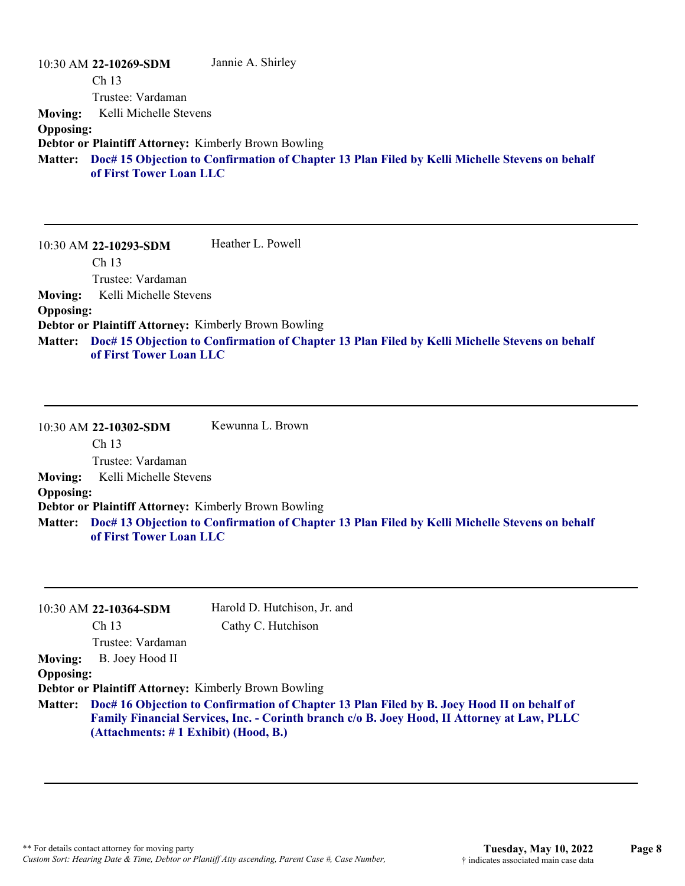|                  | 10:30 AM 22-10269-SDM                                       | Jannie A. Shirley                                                                                      |
|------------------|-------------------------------------------------------------|--------------------------------------------------------------------------------------------------------|
|                  | Ch <sub>13</sub>                                            |                                                                                                        |
|                  | Trustee: Vardaman                                           |                                                                                                        |
| <b>Moving:</b>   | Kelli Michelle Stevens                                      |                                                                                                        |
| <b>Opposing:</b> |                                                             |                                                                                                        |
|                  | <b>Debtor or Plaintiff Attorney: Kimberly Brown Bowling</b> |                                                                                                        |
|                  | of First Tower Loan LLC                                     | Matter: Doc# 15 Objection to Confirmation of Chapter 13 Plan Filed by Kelli Michelle Stevens on behalf |

10:30 AM **22-10293-SDM**  Ch 13 Trustee: Vardaman Heather L. Powell **Moving:** Kelli Michelle Stevens **Opposing: Debtor or Plaintiff Attorney:** Kimberly Brown Bowling **Doc# 15 Objection to Confirmation of Chapter 13 Plan Filed by Kelli Michelle Stevens on behalf Matter: of First Tower Loan LLC**

10:30 AM **22-10302-SDM**  Ch 13 Trustee: Vardaman Kewunna L. Brown **Moving:** Kelli Michelle Stevens **Opposing: Debtor or Plaintiff Attorney:** Kimberly Brown Bowling **Doc# 13 Objection to Confirmation of Chapter 13 Plan Filed by Kelli Michelle Stevens on behalf Matter: of First Tower Loan LLC**

|                  | 10:30 AM 22-10364-SDM                                                                                                                                                                                                                      | Harold D. Hutchison, Jr. and                                |
|------------------|--------------------------------------------------------------------------------------------------------------------------------------------------------------------------------------------------------------------------------------------|-------------------------------------------------------------|
|                  | Ch <sub>13</sub>                                                                                                                                                                                                                           | Cathy C. Hutchison                                          |
|                  | Trustee: Vardaman                                                                                                                                                                                                                          |                                                             |
| <b>Moving:</b>   | B. Joey Hood II                                                                                                                                                                                                                            |                                                             |
| <b>Opposing:</b> |                                                                                                                                                                                                                                            |                                                             |
|                  |                                                                                                                                                                                                                                            | <b>Debtor or Plaintiff Attorney: Kimberly Brown Bowling</b> |
|                  | Matter: Doc# 16 Objection to Confirmation of Chapter 13 Plan Filed by B. Joey Hood II on behalf of<br>Family Financial Services, Inc. - Corinth branch c/o B. Joey Hood, II Attorney at Law, PLLC<br>(Attachments: # 1 Exhibit) (Hood, B.) |                                                             |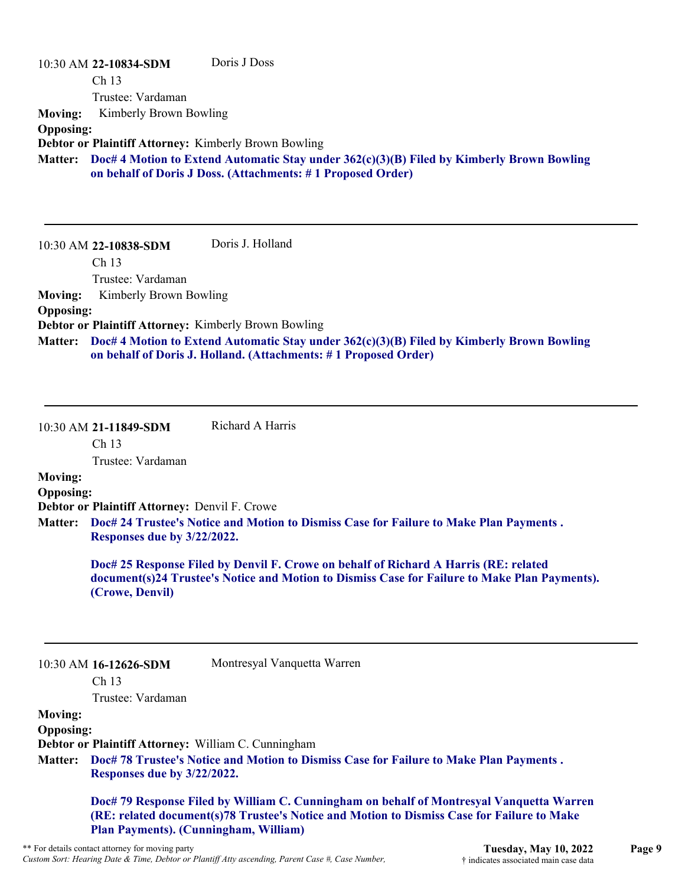|                  | 10:30 AM 22-10834-SDM<br>Ch <sub>13</sub>                   | Doris J Doss                                                                                                                                                   |
|------------------|-------------------------------------------------------------|----------------------------------------------------------------------------------------------------------------------------------------------------------------|
|                  | Trustee: Vardaman                                           |                                                                                                                                                                |
|                  |                                                             |                                                                                                                                                                |
| <b>Moving:</b>   | Kimberly Brown Bowling                                      |                                                                                                                                                                |
| <b>Opposing:</b> | <b>Debtor or Plaintiff Attorney: Kimberly Brown Bowling</b> |                                                                                                                                                                |
| <b>Matter:</b>   |                                                             | Doc# 4 Motion to Extend Automatic Stay under 362(c)(3)(B) Filed by Kimberly Brown Bowling<br>on behalf of Doris J Doss. (Attachments: #1 Proposed Order)       |
|                  | 10:30 AM 22-10838-SDM                                       | Doris J. Holland                                                                                                                                               |
|                  | Ch <sub>13</sub>                                            |                                                                                                                                                                |
|                  | Trustee: Vardaman                                           |                                                                                                                                                                |
| <b>Moving:</b>   | Kimberly Brown Bowling                                      |                                                                                                                                                                |
| <b>Opposing:</b> |                                                             |                                                                                                                                                                |
|                  | <b>Debtor or Plaintiff Attorney: Kimberly Brown Bowling</b> |                                                                                                                                                                |
| <b>Matter:</b>   |                                                             | Doc# 4 Motion to Extend Automatic Stay under $362(c)(3)(B)$ Filed by Kimberly Brown Bowling<br>on behalf of Doris J. Holland. (Attachments: #1 Proposed Order) |

| 10:30 AM 21-11849-SDM | Richard A Harris |
|-----------------------|------------------|
|-----------------------|------------------|

Ch 13

Trustee: Vardaman

#### **Moving: Opposing:**

**Debtor or Plaintiff Attorney:** Denvil F. Crowe

**Doc# 24 Trustee's Notice and Motion to Dismiss Case for Failure to Make Plan Payments . Matter: Responses due by 3/22/2022.**

> **Doc# 25 Response Filed by Denvil F. Crowe on behalf of Richard A Harris (RE: related document(s)24 Trustee's Notice and Motion to Dismiss Case for Failure to Make Plan Payments). (Crowe, Denvil)**

#### 10:30 AM **16-12626-SDM**

Ch 13

Trustee: Vardaman

#### **Moving:**

**Opposing:**

**Debtor or Plaintiff Attorney:** William C. Cunningham

**Doc# 78 Trustee's Notice and Motion to Dismiss Case for Failure to Make Plan Payments . Matter: Responses due by 3/22/2022.**

Montresyal Vanquetta Warren

**Doc# 79 Response Filed by William C. Cunningham on behalf of Montresyal Vanquetta Warren (RE: related document(s)78 Trustee's Notice and Motion to Dismiss Case for Failure to Make Plan Payments). (Cunningham, William)**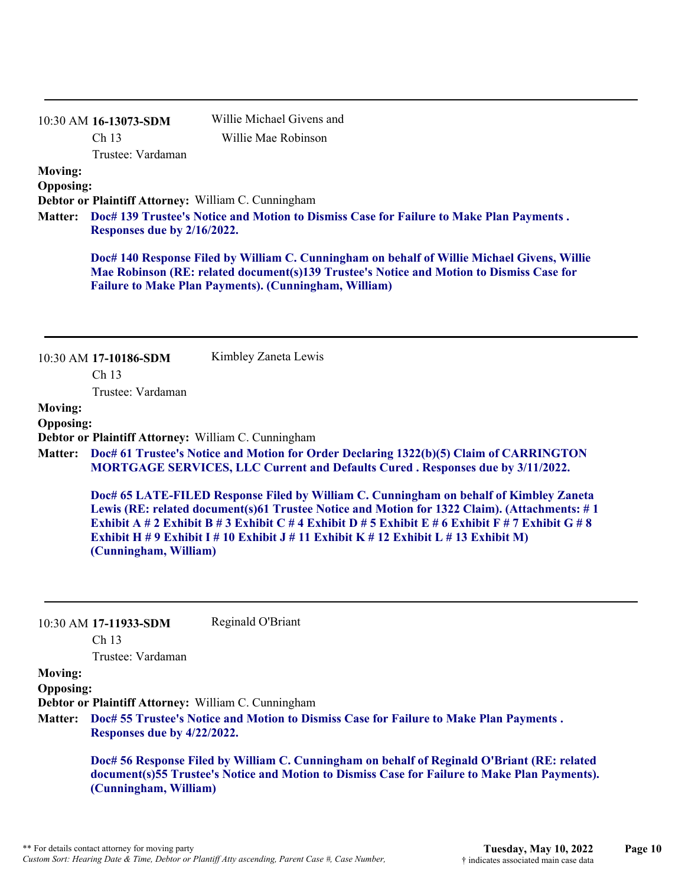|                                    | 10:30 AM 16-13073-SDM                     | Willie Michael Givens and                                                                                                                                                                                                                                                                                                                                                           |
|------------------------------------|-------------------------------------------|-------------------------------------------------------------------------------------------------------------------------------------------------------------------------------------------------------------------------------------------------------------------------------------------------------------------------------------------------------------------------------------|
|                                    | Ch 13                                     | Willie Mae Robinson                                                                                                                                                                                                                                                                                                                                                                 |
|                                    | Trustee: Vardaman                         |                                                                                                                                                                                                                                                                                                                                                                                     |
| <b>Moving:</b><br><b>Opposing:</b> |                                           |                                                                                                                                                                                                                                                                                                                                                                                     |
|                                    |                                           | Debtor or Plaintiff Attorney: William C. Cunningham                                                                                                                                                                                                                                                                                                                                 |
| <b>Matter:</b>                     | Responses due by 2/16/2022.               | Doc# 139 Trustee's Notice and Motion to Dismiss Case for Failure to Make Plan Payments.                                                                                                                                                                                                                                                                                             |
|                                    |                                           | Doc# 140 Response Filed by William C. Cunningham on behalf of Willie Michael Givens, Willie<br>Mae Robinson (RE: related document(s)139 Trustee's Notice and Motion to Dismiss Case for<br><b>Failure to Make Plan Payments). (Cunningham, William)</b>                                                                                                                             |
|                                    | 10:30 AM 17-10186-SDM                     | Kimbley Zaneta Lewis                                                                                                                                                                                                                                                                                                                                                                |
|                                    | Ch 13<br>Trustee: Vardaman                |                                                                                                                                                                                                                                                                                                                                                                                     |
| <b>Moving:</b>                     |                                           |                                                                                                                                                                                                                                                                                                                                                                                     |
| <b>Opposing:</b>                   |                                           |                                                                                                                                                                                                                                                                                                                                                                                     |
|                                    |                                           | Debtor or Plaintiff Attorney: William C. Cunningham                                                                                                                                                                                                                                                                                                                                 |
| <b>Matter:</b>                     |                                           | Doc# 61 Trustee's Notice and Motion for Order Declaring 1322(b)(5) Claim of CARRINGTON<br><b>MORTGAGE SERVICES, LLC Current and Defaults Cured. Responses due by 3/11/2022.</b>                                                                                                                                                                                                     |
|                                    | (Cunningham, William)                     | Doc# 65 LATE-FILED Response Filed by William C. Cunningham on behalf of Kimbley Zaneta<br>Lewis (RE: related document(s)61 Trustee Notice and Motion for 1322 Claim). (Attachments: #1<br>Exhibit A # 2 Exhibit B # 3 Exhibit C # 4 Exhibit D # 5 Exhibit E # 6 Exhibit F # 7 Exhibit G # 8<br>Exhibit H # 9 Exhibit I # 10 Exhibit J # 11 Exhibit K # 12 Exhibit L # 13 Exhibit M) |
|                                    |                                           | Reginald O'Briant                                                                                                                                                                                                                                                                                                                                                                   |
|                                    | 10:30 AM 17-11933-SDM<br>Ch <sub>13</sub> |                                                                                                                                                                                                                                                                                                                                                                                     |
|                                    | Trustee: Vardaman                         |                                                                                                                                                                                                                                                                                                                                                                                     |
| <b>Moving:</b><br><b>Opposing:</b> |                                           |                                                                                                                                                                                                                                                                                                                                                                                     |
| <b>Matter:</b>                     | Responses due by 4/22/2022.               | Debtor or Plaintiff Attorney: William C. Cunningham<br>Doc# 55 Trustee's Notice and Motion to Dismiss Case for Failure to Make Plan Payments.                                                                                                                                                                                                                                       |
|                                    |                                           | Doc# 56 Response Filed by William C. Cunningham on behalf of Reginald O'Briant (RE: related                                                                                                                                                                                                                                                                                         |

**document(s)55 Trustee's Notice and Motion to Dismiss Case for Failure to Make Plan Payments). (Cunningham, William)**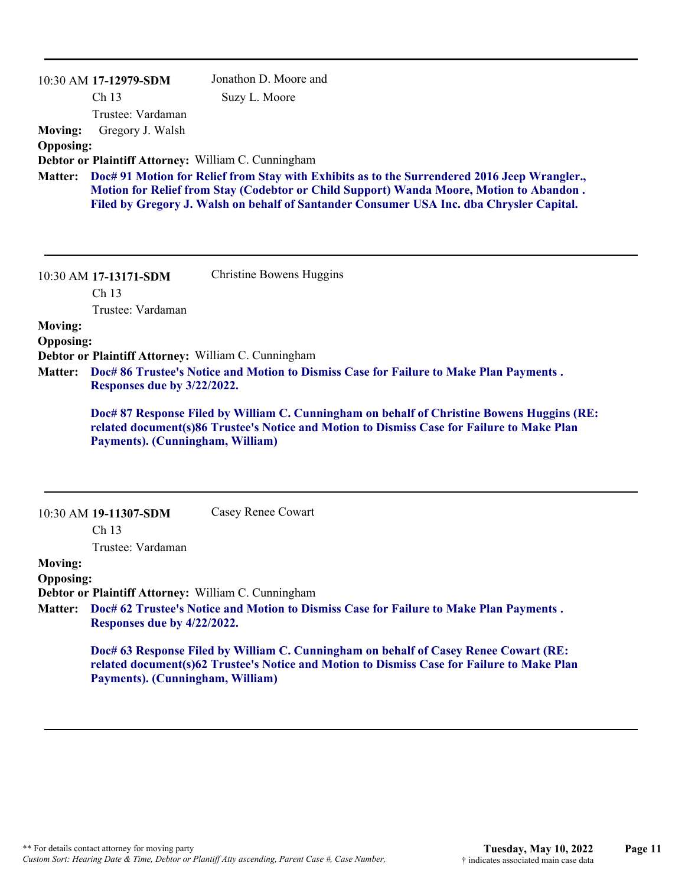|                  | 10:30 AM 17-12979-SDM            | Jonathon D. Moore and                                                                                                                                                              |
|------------------|----------------------------------|------------------------------------------------------------------------------------------------------------------------------------------------------------------------------------|
|                  | Ch 13                            | Suzy L. Moore                                                                                                                                                                      |
|                  | Trustee: Vardaman                |                                                                                                                                                                                    |
| <b>Moving:</b>   | Gregory J. Walsh                 |                                                                                                                                                                                    |
| <b>Opposing:</b> |                                  |                                                                                                                                                                                    |
| <b>Matter:</b>   |                                  | Debtor or Plaintiff Attorney: William C. Cunningham<br>Doc# 91 Motion for Relief from Stay with Exhibits as to the Surrendered 2016 Jeep Wrangler.,                                |
|                  |                                  | Motion for Relief from Stay (Codebtor or Child Support) Wanda Moore, Motion to Abandon.                                                                                            |
|                  |                                  | Filed by Gregory J. Walsh on behalf of Santander Consumer USA Inc. dba Chrysler Capital.                                                                                           |
|                  |                                  |                                                                                                                                                                                    |
|                  |                                  |                                                                                                                                                                                    |
|                  | 10:30 AM 17-13171-SDM            | Christine Bowens Huggins                                                                                                                                                           |
|                  | Ch <sub>13</sub>                 |                                                                                                                                                                                    |
|                  | Trustee: Vardaman                |                                                                                                                                                                                    |
| <b>Moving:</b>   |                                  |                                                                                                                                                                                    |
| <b>Opposing:</b> |                                  |                                                                                                                                                                                    |
|                  |                                  | Debtor or Plaintiff Attorney: William C. Cunningham                                                                                                                                |
| <b>Matter:</b>   | Responses due by 3/22/2022.      | Doc# 86 Trustee's Notice and Motion to Dismiss Case for Failure to Make Plan Payments.                                                                                             |
|                  |                                  |                                                                                                                                                                                    |
|                  |                                  |                                                                                                                                                                                    |
|                  |                                  | Doc# 87 Response Filed by William C. Cunningham on behalf of Christine Bowens Huggins (RE:                                                                                         |
|                  | Payments). (Cunningham, William) | related document(s)86 Trustee's Notice and Motion to Dismiss Case for Failure to Make Plan                                                                                         |
|                  |                                  |                                                                                                                                                                                    |
|                  |                                  |                                                                                                                                                                                    |
|                  |                                  |                                                                                                                                                                                    |
|                  | 10:30 AM 19-11307-SDM            | Casey Renee Cowart                                                                                                                                                                 |
|                  | Ch <sub>13</sub>                 |                                                                                                                                                                                    |
|                  | Trustee: Vardaman                |                                                                                                                                                                                    |
| <b>Moving:</b>   |                                  |                                                                                                                                                                                    |
| <b>Opposing:</b> |                                  |                                                                                                                                                                                    |
| <b>Matter:</b>   |                                  | Debtor or Plaintiff Attorney: William C. Cunningham<br>Doc# 62 Trustee's Notice and Motion to Dismiss Case for Failure to Make Plan Payments.                                      |
|                  | Responses due by 4/22/2022.      |                                                                                                                                                                                    |
|                  |                                  |                                                                                                                                                                                    |
|                  |                                  | Doc# 63 Response Filed by William C. Cunningham on behalf of Casey Renee Cowart (RE:<br>related document(s)62 Trustee's Notice and Motion to Dismiss Case for Failure to Make Plan |
|                  | Payments). (Cunningham, William) |                                                                                                                                                                                    |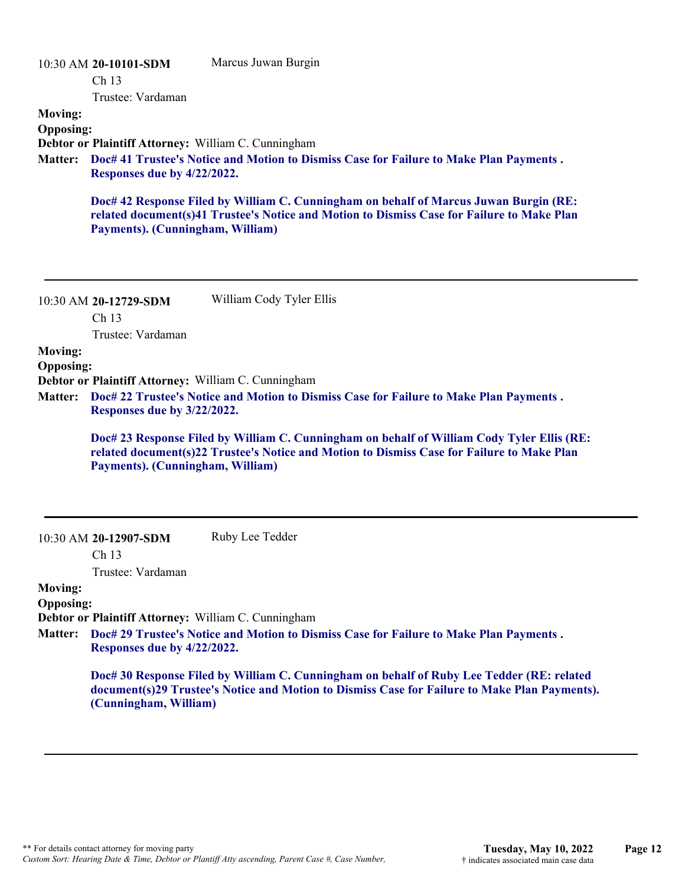|                  | 10:30 AM 20-10101-SDM                                                                                                 | Marcus Juwan Burgin                                                                                                                                                                      |  |
|------------------|-----------------------------------------------------------------------------------------------------------------------|------------------------------------------------------------------------------------------------------------------------------------------------------------------------------------------|--|
|                  | Ch <sub>13</sub>                                                                                                      |                                                                                                                                                                                          |  |
|                  | Trustee: Vardaman                                                                                                     |                                                                                                                                                                                          |  |
| <b>Moving:</b>   |                                                                                                                       |                                                                                                                                                                                          |  |
| <b>Opposing:</b> |                                                                                                                       |                                                                                                                                                                                          |  |
| <b>Matter:</b>   | Debtor or Plaintiff Attorney: William C. Cunningham                                                                   |                                                                                                                                                                                          |  |
|                  | Doc# 41 Trustee's Notice and Motion to Dismiss Case for Failure to Make Plan Payments.<br>Responses due by 4/22/2022. |                                                                                                                                                                                          |  |
|                  | Payments). (Cunningham, William)                                                                                      | Doc# 42 Response Filed by William C. Cunningham on behalf of Marcus Juwan Burgin (RE:<br>related document(s)41 Trustee's Notice and Motion to Dismiss Case for Failure to Make Plan      |  |
|                  | 10:30 AM 20-12729-SDM<br>Ch <sub>13</sub><br>Trustee: Vardaman                                                        | William Cody Tyler Ellis                                                                                                                                                                 |  |
| <b>Moving:</b>   |                                                                                                                       |                                                                                                                                                                                          |  |
| <b>Opposing:</b> |                                                                                                                       |                                                                                                                                                                                          |  |
|                  | Debtor or Plaintiff Attorney: William C. Cunningham                                                                   |                                                                                                                                                                                          |  |
| <b>Matter:</b>   | Responses due by 3/22/2022.                                                                                           | Doc# 22 Trustee's Notice and Motion to Dismiss Case for Failure to Make Plan Payments.                                                                                                   |  |
|                  | Payments). (Cunningham, William)                                                                                      | Doc# 23 Response Filed by William C. Cunningham on behalf of William Cody Tyler Ellis (RE:<br>related document(s)22 Trustee's Notice and Motion to Dismiss Case for Failure to Make Plan |  |
|                  | 10:30 AM 20-12907-SDM<br>Ch 13                                                                                        | Ruby Lee Tedder                                                                                                                                                                          |  |

Trustee: Vardaman

#### **Moving: Opposing:**

**Debtor or Plaintiff Attorney:** William C. Cunningham

**Doc# 29 Trustee's Notice and Motion to Dismiss Case for Failure to Make Plan Payments . Matter: Responses due by 4/22/2022.**

**Doc# 30 Response Filed by William C. Cunningham on behalf of Ruby Lee Tedder (RE: related document(s)29 Trustee's Notice and Motion to Dismiss Case for Failure to Make Plan Payments). (Cunningham, William)**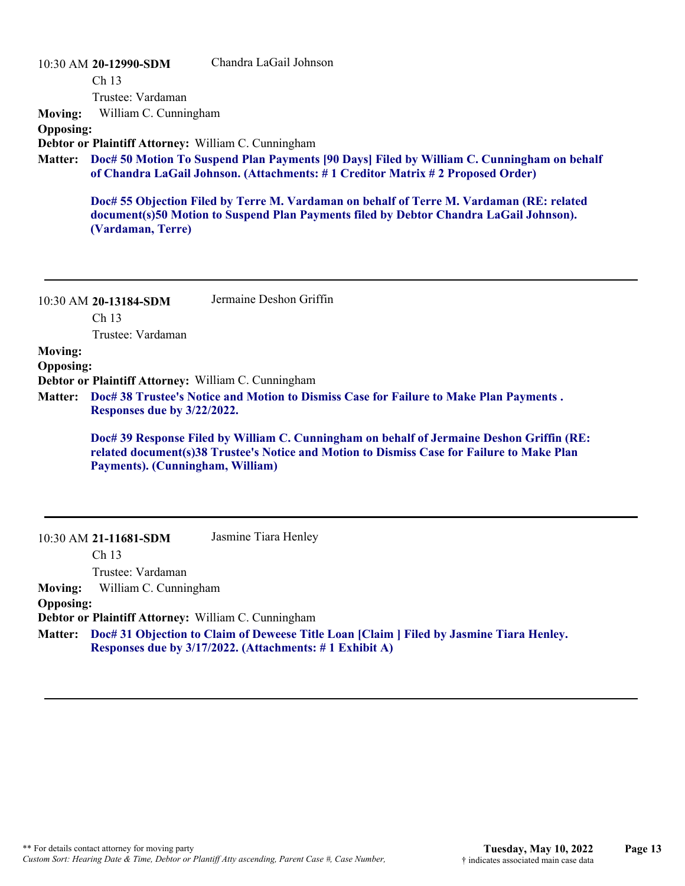| 10:30 AM 20-12990-SDM |  |  |  |
|-----------------------|--|--|--|
|-----------------------|--|--|--|

Chandra LaGail Johnson

Ch 13

Trustee: Vardaman

**Moving:** William C. Cunningham

#### **Opposing:**

**Debtor or Plaintiff Attorney:** William C. Cunningham

**Doc# 50 Motion To Suspend Plan Payments [90 Days] Filed by William C. Cunningham on behalf Matter: of Chandra LaGail Johnson. (Attachments: # 1 Creditor Matrix # 2 Proposed Order)**

**Doc# 55 Objection Filed by Terre M. Vardaman on behalf of Terre M. Vardaman (RE: related document(s)50 Motion to Suspend Plan Payments filed by Debtor Chandra LaGail Johnson). (Vardaman, Terre)**

| 10:30 AM 20-13184-SDM | Jermaine Deshon Griffin |
|-----------------------|-------------------------|
| Ch 13                 |                         |

Trustee: Vardaman

#### **Moving:**

**Opposing:**

**Debtor or Plaintiff Attorney:** William C. Cunningham

**Doc# 38 Trustee's Notice and Motion to Dismiss Case for Failure to Make Plan Payments . Matter: Responses due by 3/22/2022.**

**Doc# 39 Response Filed by William C. Cunningham on behalf of Jermaine Deshon Griffin (RE: related document(s)38 Trustee's Notice and Motion to Dismiss Case for Failure to Make Plan Payments). (Cunningham, William)**

| 10:30 AM 21-11681-SDM | Jasmine Tiara Henley |
|-----------------------|----------------------|
|-----------------------|----------------------|

Ch 13

Trustee: Vardaman

**Moving:** William C. Cunningham

#### **Opposing:**

**Debtor or Plaintiff Attorney:** William C. Cunningham

**Doc# 31 Objection to Claim of Deweese Title Loan [Claim ] Filed by Jasmine Tiara Henley. Matter: Responses due by 3/17/2022. (Attachments: # 1 Exhibit A)**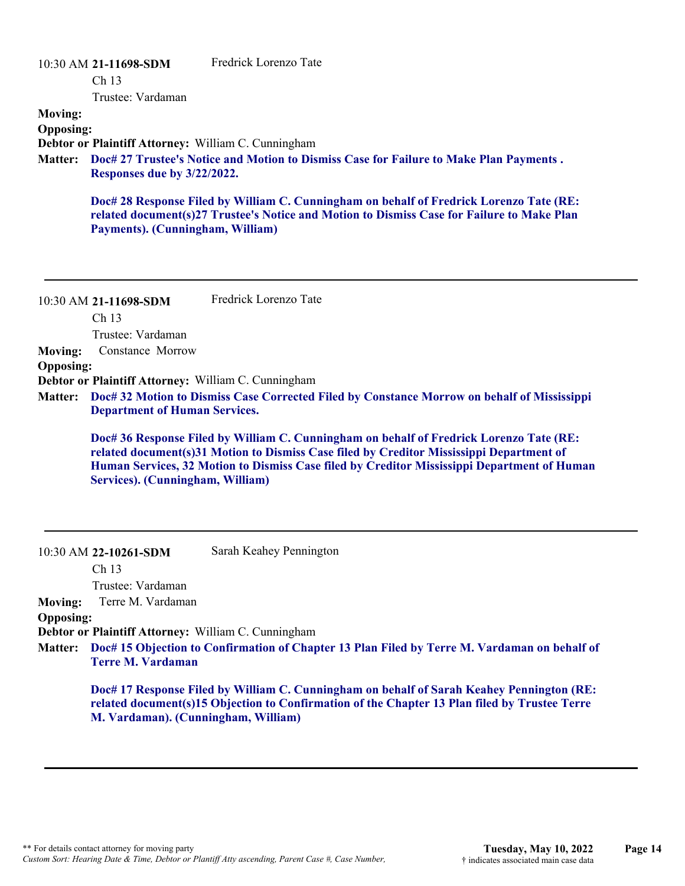#### 10:30 AM **21-11698-SDM**  Ch 13 Trustee: Vardaman Fredrick Lorenzo Tate **Moving: Opposing: Debtor or Plaintiff Attorney:** William C. Cunningham **Doc# 27 Trustee's Notice and Motion to Dismiss Case for Failure to Make Plan Payments . Matter: Responses due by 3/22/2022. Doc# 28 Response Filed by William C. Cunningham on behalf of Fredrick Lorenzo Tate (RE: related document(s)27 Trustee's Notice and Motion to Dismiss Case for Failure to Make Plan Payments). (Cunningham, William)**

|                  | 10:30 AM 21-11698-SDM                               | Fredrick Lorenzo Tate                                                                                                                                                                                                                                                              |
|------------------|-----------------------------------------------------|------------------------------------------------------------------------------------------------------------------------------------------------------------------------------------------------------------------------------------------------------------------------------------|
|                  | Ch <sub>13</sub>                                    |                                                                                                                                                                                                                                                                                    |
|                  | Trustee: Vardaman                                   |                                                                                                                                                                                                                                                                                    |
| <b>Moving:</b>   | Constance Morrow                                    |                                                                                                                                                                                                                                                                                    |
| <b>Opposing:</b> |                                                     |                                                                                                                                                                                                                                                                                    |
|                  | Debtor or Plaintiff Attorney: William C. Cunningham |                                                                                                                                                                                                                                                                                    |
| <b>Matter:</b>   | <b>Department of Human Services.</b>                | Doc# 32 Motion to Dismiss Case Corrected Filed by Constance Morrow on behalf of Mississippi                                                                                                                                                                                        |
|                  | Services). (Cunningham, William)                    | Doc# 36 Response Filed by William C. Cunningham on behalf of Fredrick Lorenzo Tate (RE:<br>related document(s)31 Motion to Dismiss Case filed by Creditor Mississippi Department of<br>Human Services, 32 Motion to Dismiss Case filed by Creditor Mississippi Department of Human |

| 10:30 AM 22-10261-SDM | Sarah Keahey Pennington |
|-----------------------|-------------------------|
|-----------------------|-------------------------|

Ch 13 Trustee: Vardaman

**Moving:** Terre M. Vardaman

#### **Opposing:**

**Debtor or Plaintiff Attorney:** William C. Cunningham

**Doc# 15 Objection to Confirmation of Chapter 13 Plan Filed by Terre M. Vardaman on behalf of Matter: Terre M. Vardaman**

**Doc# 17 Response Filed by William C. Cunningham on behalf of Sarah Keahey Pennington (RE: related document(s)15 Objection to Confirmation of the Chapter 13 Plan filed by Trustee Terre M. Vardaman). (Cunningham, William)**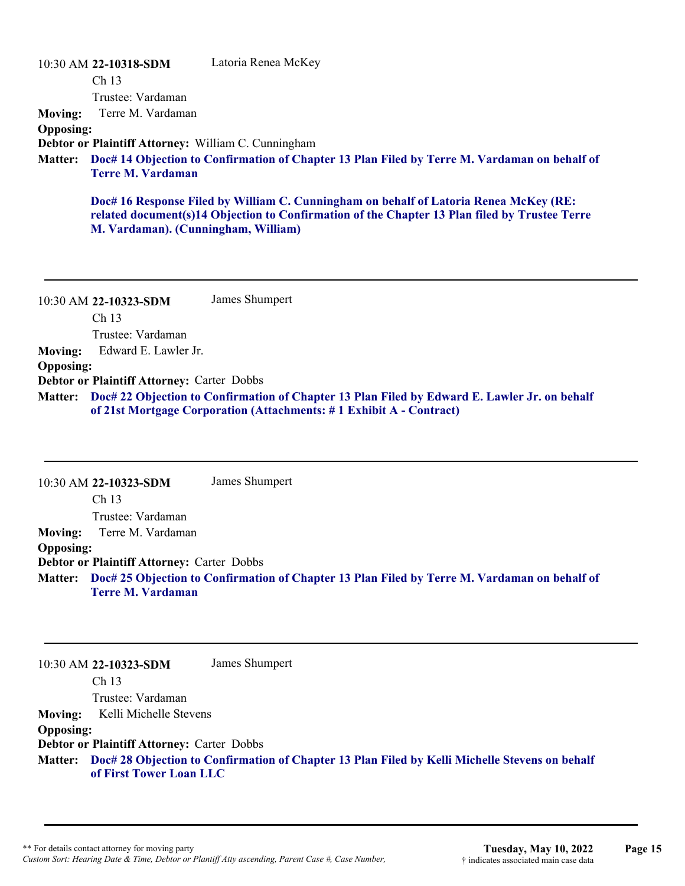|                  | 10:30 AM 22-10318-SDM                               | Latoria Renea McKey                                                                                                                                                                    |
|------------------|-----------------------------------------------------|----------------------------------------------------------------------------------------------------------------------------------------------------------------------------------------|
|                  | Ch <sub>13</sub>                                    |                                                                                                                                                                                        |
|                  | Trustee: Vardaman                                   |                                                                                                                                                                                        |
| <b>Moving:</b>   | Terre M. Vardaman                                   |                                                                                                                                                                                        |
| <b>Opposing:</b> |                                                     |                                                                                                                                                                                        |
|                  | Debtor or Plaintiff Attorney: William C. Cunningham |                                                                                                                                                                                        |
|                  | <b>Terre M. Vardaman</b>                            | Matter: Doc# 14 Objection to Confirmation of Chapter 13 Plan Filed by Terre M. Vardaman on behalf of                                                                                   |
|                  | M. Vardaman). (Cunningham, William)                 | Doc# 16 Response Filed by William C. Cunningham on behalf of Latoria Renea McKey (RE:<br>related document(s)14 Objection to Confirmation of the Chapter 13 Plan filed by Trustee Terre |

10:30 AM **22-10323-SDM**  Ch 13 Trustee: Vardaman James Shumpert **Moving:** Edward E. Lawler Jr. **Opposing: Debtor or Plaintiff Attorney:** Carter Dobbs **Doc# 22 Objection to Confirmation of Chapter 13 Plan Filed by Edward E. Lawler Jr. on behalf Matter: of 21st Mortgage Corporation (Attachments: # 1 Exhibit A - Contract)**

10:30 AM **22-10323-SDM**  Ch 13 Trustee: Vardaman James Shumpert **Moving:** Terre M. Vardaman **Opposing: Debtor or Plaintiff Attorney:** Carter Dobbs **Doc# 25 Objection to Confirmation of Chapter 13 Plan Filed by Terre M. Vardaman on behalf of Matter: Terre M. Vardaman**

10:30 AM **22-10323-SDM**  Ch 13 Trustee: Vardaman James Shumpert **Moving:** Kelli Michelle Stevens **Opposing: Debtor or Plaintiff Attorney:** Carter Dobbs **Doc# 28 Objection to Confirmation of Chapter 13 Plan Filed by Kelli Michelle Stevens on behalf Matter: of First Tower Loan LLC**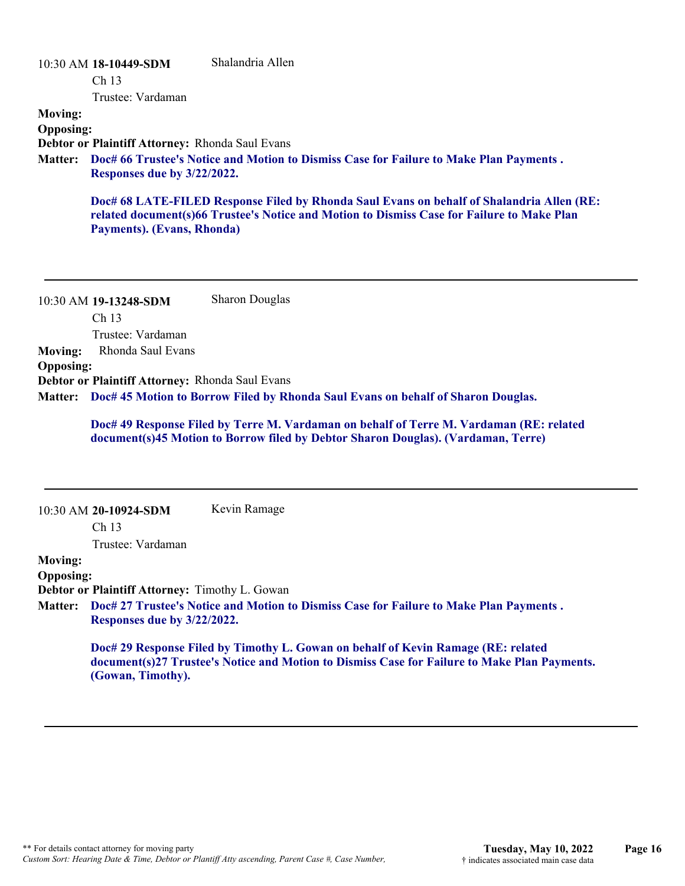#### 10:30 AM **18-10449-SDM**  Ch 13 Trustee: Vardaman Shalandria Allen **Moving: Opposing: Debtor or Plaintiff Attorney:** Rhonda Saul Evans **Doc# 66 Trustee's Notice and Motion to Dismiss Case for Failure to Make Plan Payments . Matter: Responses due by 3/22/2022. Doc# 68 LATE-FILED Response Filed by Rhonda Saul Evans on behalf of Shalandria Allen (RE: related document(s)66 Trustee's Notice and Motion to Dismiss Case for Failure to Make Plan**

10:30 AM **19-13248-SDM**  Ch 13 Trustee: Vardaman Sharon Douglas **Moving:** Rhonda Saul Evans **Opposing: Debtor or Plaintiff Attorney:** Rhonda Saul Evans **Doc# 45 Motion to Borrow Filed by Rhonda Saul Evans on behalf of Sharon Douglas. Matter:**

> **Doc# 49 Response Filed by Terre M. Vardaman on behalf of Terre M. Vardaman (RE: related document(s)45 Motion to Borrow filed by Debtor Sharon Douglas). (Vardaman, Terre)**

|                  | 10:30 AM 20-10924-SDM                                 | Kevin Ramage                                                                                                                                                                      |
|------------------|-------------------------------------------------------|-----------------------------------------------------------------------------------------------------------------------------------------------------------------------------------|
|                  | Ch <sub>13</sub>                                      |                                                                                                                                                                                   |
|                  | Trustee: Vardaman                                     |                                                                                                                                                                                   |
| <b>Moving:</b>   |                                                       |                                                                                                                                                                                   |
| <b>Opposing:</b> |                                                       |                                                                                                                                                                                   |
|                  | <b>Debtor or Plaintiff Attorney: Timothy L. Gowan</b> |                                                                                                                                                                                   |
|                  |                                                       | Matter: Doc# 27 Trustee's Notice and Motion to Dismiss Case for Failure to Make Plan Payments.                                                                                    |
|                  | Responses due by 3/22/2022.                           |                                                                                                                                                                                   |
|                  |                                                       | Doc# 29 Response Filed by Timothy L. Gowan on behalf of Kevin Ramage (RE: related<br>document(s)27 Trustee's Notice and Motion to Dismiss Case for Failure to Make Plan Payments. |

**(Gowan, Timothy).**

**Payments). (Evans, Rhonda)**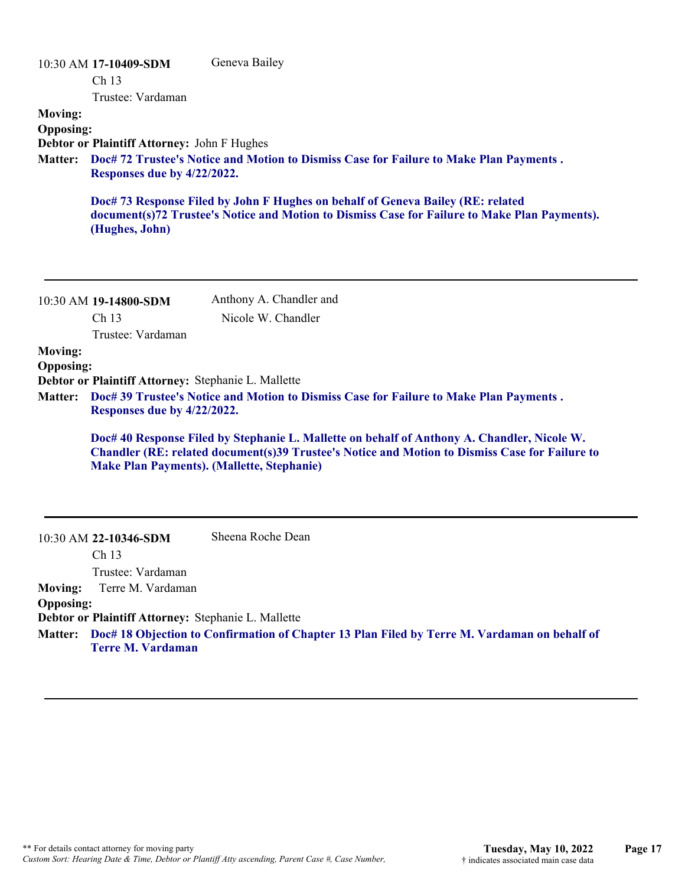| <b>Moving:</b><br><b>Opposing:</b><br><b>Matter:</b> | 10:30 AM 17-10409-SDM<br>Ch <sub>13</sub><br>Trustee: Vardaman<br>Debtor or Plaintiff Attorney: John F Hughes<br>Responses due by 4/22/2022. | Geneva Bailey<br>Doc# 72 Trustee's Notice and Motion to Dismiss Case for Failure to Make Plan Payments.<br>Doc# 73 Response Filed by John F Hughes on behalf of Geneva Bailey (RE: related<br>document(s)72 Trustee's Notice and Motion to Dismiss Case for Failure to Make Plan Payments). |
|------------------------------------------------------|----------------------------------------------------------------------------------------------------------------------------------------------|---------------------------------------------------------------------------------------------------------------------------------------------------------------------------------------------------------------------------------------------------------------------------------------------|
|                                                      | (Hughes, John)                                                                                                                               |                                                                                                                                                                                                                                                                                             |
|                                                      | 10:30 AM 19-14800-SDM<br>Ch <sub>13</sub>                                                                                                    | Anthony A. Chandler and<br>Nicole W. Chandler                                                                                                                                                                                                                                               |
| <b>Moving:</b><br><b>Opposing:</b><br><b>Matter:</b> | Trustee: Vardaman<br>Debtor or Plaintiff Attorney: Stephanie L. Mallette<br>Responses due by 4/22/2022.                                      | Doc# 39 Trustee's Notice and Motion to Dismiss Case for Failure to Make Plan Payments.                                                                                                                                                                                                      |
|                                                      | <b>Make Plan Payments). (Mallette, Stephanie)</b>                                                                                            | Doc# 40 Response Filed by Stephanie L. Mallette on behalf of Anthony A. Chandler, Nicole W.<br>Chandler (RE: related document(s)39 Trustee's Notice and Motion to Dismiss Case for Failure to                                                                                               |
|                                                      | 10:30 AM 22-10346-SDM<br>Ch <sub>13</sub><br>Trustee: Vardaman                                                                               | Sheena Roche Dean                                                                                                                                                                                                                                                                           |
| <b>Moving:</b><br><b>Opposing:</b>                   | Terre M. Vardaman<br>Debtor or Plaintiff Attorney: Stephanie L. Mallette<br><b>Terre M. Vardaman</b>                                         | Matter: Doc# 18 Objection to Confirmation of Chapter 13 Plan Filed by Terre M. Vardaman on behalf of                                                                                                                                                                                        |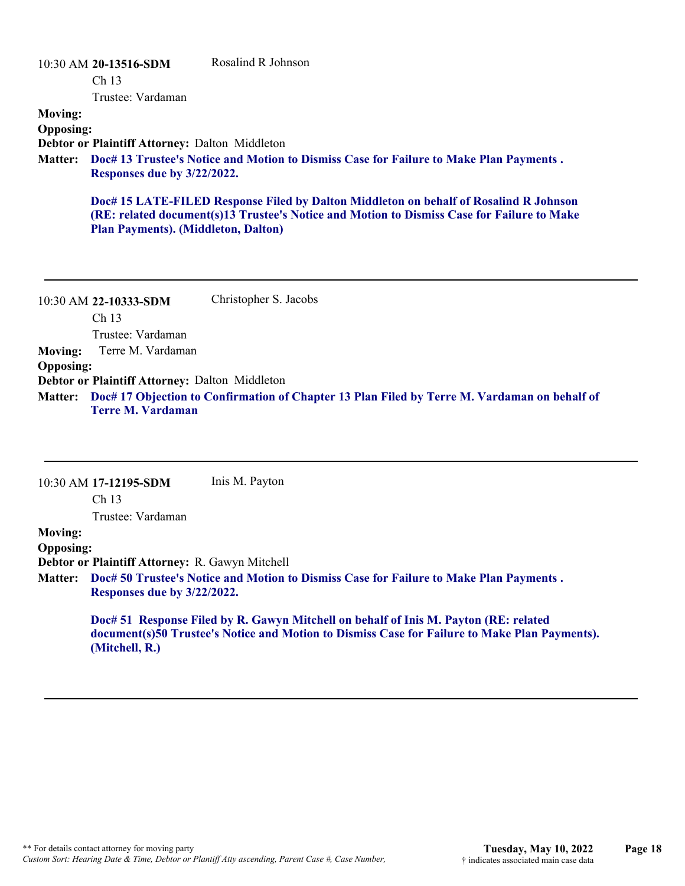|                                    | 10:30 AM 20-13516-SDM<br>Ch <sub>13</sub>             | Rosalind R Johnson                                                                                                                                                                  |
|------------------------------------|-------------------------------------------------------|-------------------------------------------------------------------------------------------------------------------------------------------------------------------------------------|
|                                    | Trustee: Vardaman                                     |                                                                                                                                                                                     |
| <b>Moving:</b><br><b>Opposing:</b> |                                                       |                                                                                                                                                                                     |
|                                    | <b>Debtor or Plaintiff Attorney: Dalton Middleton</b> |                                                                                                                                                                                     |
| <b>Matter:</b>                     | Responses due by 3/22/2022.                           | Doc# 13 Trustee's Notice and Motion to Dismiss Case for Failure to Make Plan Payments.                                                                                              |
|                                    | <b>Plan Payments). (Middleton, Dalton)</b>            | Doc# 15 LATE-FILED Response Filed by Dalton Middleton on behalf of Rosalind R Johnson<br>(RE: related document(s)13 Trustee's Notice and Motion to Dismiss Case for Failure to Make |

|                  | 10:30 AM 22-10333-SDM                          | Christopher S. Jacobs                                                                                |
|------------------|------------------------------------------------|------------------------------------------------------------------------------------------------------|
|                  | Ch <sub>13</sub>                               |                                                                                                      |
|                  | Trustee: Vardaman                              |                                                                                                      |
|                  | <b>Moving:</b> Terre M. Vardaman               |                                                                                                      |
| <b>Opposing:</b> |                                                |                                                                                                      |
|                  | Debtor or Plaintiff Attorney: Dalton Middleton |                                                                                                      |
|                  |                                                | Matter: Doc# 17 Objection to Confirmation of Chapter 13 Plan Filed by Terre M. Vardaman on behalf of |
|                  | <b>Terre M. Vardaman</b>                       |                                                                                                      |

|                  | $10:30$ AM 17-12195-SDM                         | Inis M. Payton                                                                         |
|------------------|-------------------------------------------------|----------------------------------------------------------------------------------------|
|                  | Ch <sub>13</sub>                                |                                                                                        |
|                  | Trustee: Vardaman                               |                                                                                        |
| <b>Moving:</b>   |                                                 |                                                                                        |
| <b>Opposing:</b> |                                                 |                                                                                        |
|                  | Debtor or Plaintiff Attorney: R. Gawyn Mitchell |                                                                                        |
| Matter:          | Responses due by 3/22/2022.                     | Doc# 50 Trustee's Notice and Motion to Dismiss Case for Failure to Make Plan Payments. |
|                  |                                                 |                                                                                        |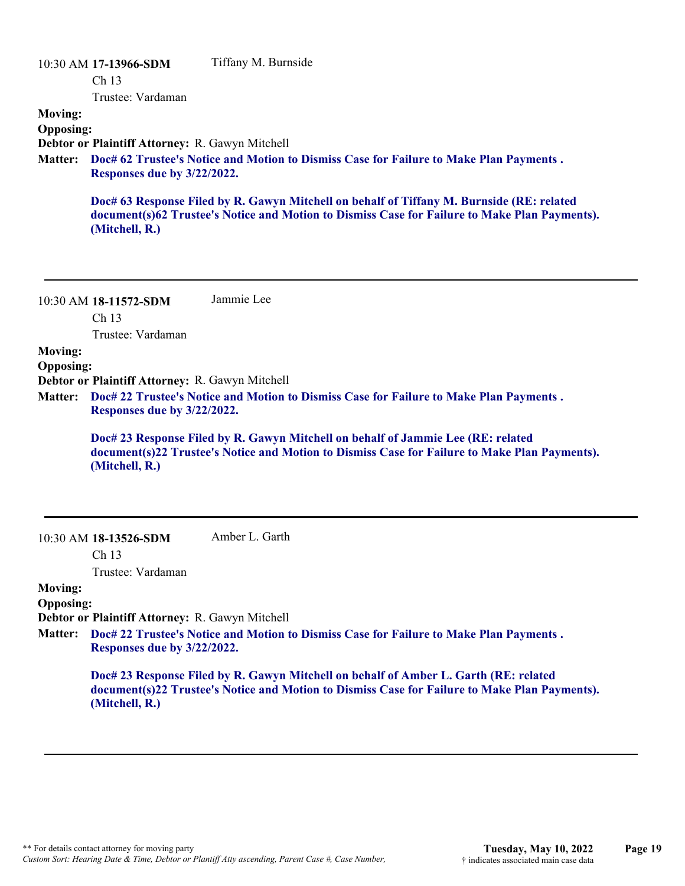10:30 AM **17-13966-SDM**  Ch 13 Trustee: Vardaman Tiffany M. Burnside **Moving: Opposing: Debtor or Plaintiff Attorney:** R. Gawyn Mitchell **Doc# 62 Trustee's Notice and Motion to Dismiss Case for Failure to Make Plan Payments . Matter: Responses due by 3/22/2022. Doc# 63 Response Filed by R. Gawyn Mitchell on behalf of Tiffany M. Burnside (RE: related document(s)62 Trustee's Notice and Motion to Dismiss Case for Failure to Make Plan Payments). (Mitchell, R.)**

10:30 AM **18-11572-SDM**  Ch 13 Jammie Lee

Trustee: Vardaman

**Moving:**

**Opposing:**

**Debtor or Plaintiff Attorney:** R. Gawyn Mitchell

**Doc# 22 Trustee's Notice and Motion to Dismiss Case for Failure to Make Plan Payments . Matter: Responses due by 3/22/2022.**

**Doc# 23 Response Filed by R. Gawyn Mitchell on behalf of Jammie Lee (RE: related document(s)22 Trustee's Notice and Motion to Dismiss Case for Failure to Make Plan Payments). (Mitchell, R.)**

10:30 AM **18-13526-SDM**  Amber L. Garth

Ch 13

Trustee: Vardaman

#### **Moving: Opposing:**

**Debtor or Plaintiff Attorney:** R. Gawyn Mitchell

**Doc# 22 Trustee's Notice and Motion to Dismiss Case for Failure to Make Plan Payments . Matter: Responses due by 3/22/2022.**

> **Doc# 23 Response Filed by R. Gawyn Mitchell on behalf of Amber L. Garth (RE: related document(s)22 Trustee's Notice and Motion to Dismiss Case for Failure to Make Plan Payments). (Mitchell, R.)**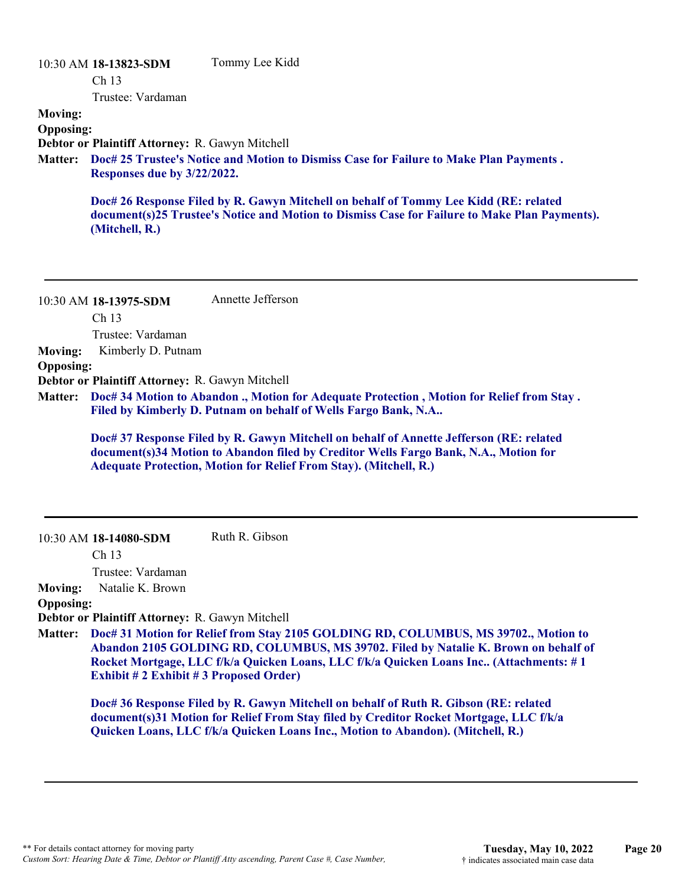|                  | 10:30 AM 18-13823-SDM                                                                          | Tommy Lee Kidd                                                                                                                                                                        |  |
|------------------|------------------------------------------------------------------------------------------------|---------------------------------------------------------------------------------------------------------------------------------------------------------------------------------------|--|
|                  | Ch <sub>13</sub>                                                                               |                                                                                                                                                                                       |  |
|                  | Trustee: Vardaman                                                                              |                                                                                                                                                                                       |  |
| <b>Moving:</b>   |                                                                                                |                                                                                                                                                                                       |  |
| <b>Opposing:</b> |                                                                                                |                                                                                                                                                                                       |  |
|                  | Debtor or Plaintiff Attorney: R. Gawyn Mitchell                                                |                                                                                                                                                                                       |  |
|                  | Matter: Doc# 25 Trustee's Notice and Motion to Dismiss Case for Failure to Make Plan Payments. |                                                                                                                                                                                       |  |
|                  | Responses due by 3/22/2022.                                                                    |                                                                                                                                                                                       |  |
|                  | (Mitchell, R.)                                                                                 | Doc# 26 Response Filed by R. Gawyn Mitchell on behalf of Tommy Lee Kidd (RE: related<br>document(s)25 Trustee's Notice and Motion to Dismiss Case for Failure to Make Plan Payments). |  |

10:30 AM **18-13975-SDM**  Ch 13 Trustee: Vardaman Annette Jefferson **Moving:** Kimberly D. Putnam **Opposing: Debtor or Plaintiff Attorney:** R. Gawyn Mitchell **Doc# 34 Motion to Abandon ., Motion for Adequate Protection , Motion for Relief from Stay . Matter: Filed by Kimberly D. Putnam on behalf of Wells Fargo Bank, N.A.. Doc# 37 Response Filed by R. Gawyn Mitchell on behalf of Annette Jefferson (RE: related document(s)34 Motion to Abandon filed by Creditor Wells Fargo Bank, N.A., Motion for Adequate Protection, Motion for Relief From Stay). (Mitchell, R.)** 10:30 AM **18-14080-SDM**  Ch 13 Trustee: Vardaman Ruth R. Gibson **Moving:** Natalie K. Brown **Opposing:**

**Debtor or Plaintiff Attorney:** R. Gawyn Mitchell

**Doc# 31 Motion for Relief from Stay 2105 GOLDING RD, COLUMBUS, MS 39702., Motion to Matter: Abandon 2105 GOLDING RD, COLUMBUS, MS 39702. Filed by Natalie K. Brown on behalf of Rocket Mortgage, LLC f/k/a Quicken Loans, LLC f/k/a Quicken Loans Inc.. (Attachments: # 1 Exhibit # 2 Exhibit # 3 Proposed Order)**

**Doc# 36 Response Filed by R. Gawyn Mitchell on behalf of Ruth R. Gibson (RE: related document(s)31 Motion for Relief From Stay filed by Creditor Rocket Mortgage, LLC f/k/a Quicken Loans, LLC f/k/a Quicken Loans Inc., Motion to Abandon). (Mitchell, R.)**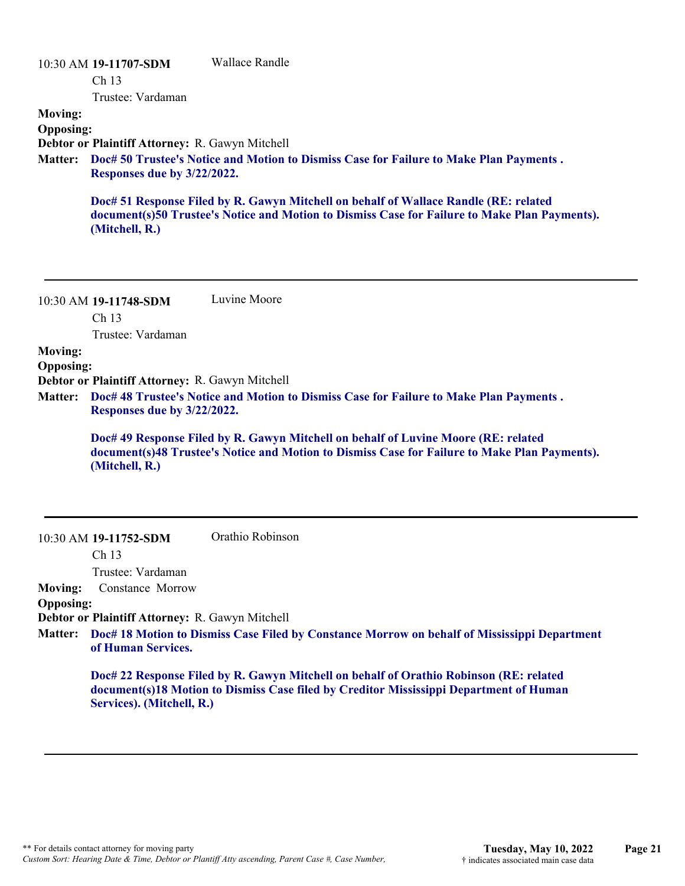|                             | Wallace Randle                                                                                                                                                                        |
|-----------------------------|---------------------------------------------------------------------------------------------------------------------------------------------------------------------------------------|
| Ch <sub>13</sub>            |                                                                                                                                                                                       |
| Trustee: Vardaman           |                                                                                                                                                                                       |
|                             |                                                                                                                                                                                       |
|                             |                                                                                                                                                                                       |
|                             |                                                                                                                                                                                       |
| Responses due by 3/22/2022. | Doc# 50 Trustee's Notice and Motion to Dismiss Case for Failure to Make Plan Payments.                                                                                                |
| (Mitchell, R.)              | Doc# 51 Response Filed by R. Gawyn Mitchell on behalf of Wallace Randle (RE: related<br>document(s)50 Trustee's Notice and Motion to Dismiss Case for Failure to Make Plan Payments). |
|                             | 10:30 AM 19-11707-SDM<br><b>Opposing:</b><br>Debtor or Plaintiff Attorney: R. Gawyn Mitchell                                                                                          |

10:30 AM **19-11748-SDM**  Ch 13 Luvine Moore

Trustee: Vardaman

**Moving:**

**Opposing:**

**Debtor or Plaintiff Attorney:** R. Gawyn Mitchell

**Doc# 48 Trustee's Notice and Motion to Dismiss Case for Failure to Make Plan Payments . Matter: Responses due by 3/22/2022.**

**Doc# 49 Response Filed by R. Gawyn Mitchell on behalf of Luvine Moore (RE: related document(s)48 Trustee's Notice and Motion to Dismiss Case for Failure to Make Plan Payments). (Mitchell, R.)**

#### 10:30 AM **19-11752-SDM**  Orathio Robinson

Ch 13

Trustee: Vardaman

**Moving:** Constance Morrow

#### **Opposing:**

**Debtor or Plaintiff Attorney:** R. Gawyn Mitchell

**Doc# 18 Motion to Dismiss Case Filed by Constance Morrow on behalf of Mississippi Department Matter: of Human Services.**

**Doc# 22 Response Filed by R. Gawyn Mitchell on behalf of Orathio Robinson (RE: related document(s)18 Motion to Dismiss Case filed by Creditor Mississippi Department of Human Services). (Mitchell, R.)**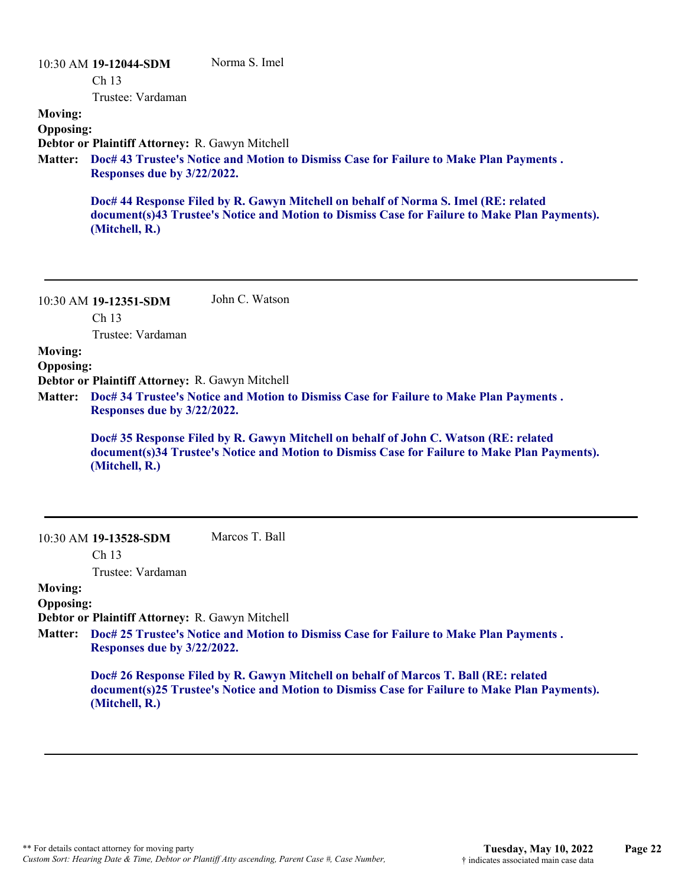|                  | 10:30 AM 19-12044-SDM                                                                  | Norma S. Imel                                                                                                                                                                        |  |
|------------------|----------------------------------------------------------------------------------------|--------------------------------------------------------------------------------------------------------------------------------------------------------------------------------------|--|
|                  | Ch <sub>13</sub>                                                                       |                                                                                                                                                                                      |  |
|                  | Trustee: Vardaman                                                                      |                                                                                                                                                                                      |  |
| <b>Moving:</b>   |                                                                                        |                                                                                                                                                                                      |  |
| <b>Opposing:</b> |                                                                                        |                                                                                                                                                                                      |  |
|                  | Debtor or Plaintiff Attorney: R. Gawyn Mitchell                                        |                                                                                                                                                                                      |  |
| <b>Matter:</b>   | Doc# 43 Trustee's Notice and Motion to Dismiss Case for Failure to Make Plan Payments. |                                                                                                                                                                                      |  |
|                  | Responses due by 3/22/2022.                                                            |                                                                                                                                                                                      |  |
|                  | (Mitchell, R.)                                                                         | Doc# 44 Response Filed by R. Gawyn Mitchell on behalf of Norma S. Imel (RE: related<br>document(s)43 Trustee's Notice and Motion to Dismiss Case for Failure to Make Plan Payments). |  |
|                  |                                                                                        |                                                                                                                                                                                      |  |
|                  |                                                                                        |                                                                                                                                                                                      |  |

10:30 AM **19-12351-SDM**  Ch 13 John C. Watson

Trustee: Vardaman

#### **Moving:**

**Opposing:**

**Debtor or Plaintiff Attorney:** R. Gawyn Mitchell

**Doc# 34 Trustee's Notice and Motion to Dismiss Case for Failure to Make Plan Payments . Matter: Responses due by 3/22/2022.**

**Doc# 35 Response Filed by R. Gawyn Mitchell on behalf of John C. Watson (RE: related document(s)34 Trustee's Notice and Motion to Dismiss Case for Failure to Make Plan Payments). (Mitchell, R.)**

10:30 AM **19-13528-SDM**  Marcos T. Ball

Ch 13

Trustee: Vardaman

#### **Moving: Opposing:**

**Debtor or Plaintiff Attorney:** R. Gawyn Mitchell

**Doc# 25 Trustee's Notice and Motion to Dismiss Case for Failure to Make Plan Payments . Matter: Responses due by 3/22/2022.**

> **Doc# 26 Response Filed by R. Gawyn Mitchell on behalf of Marcos T. Ball (RE: related document(s)25 Trustee's Notice and Motion to Dismiss Case for Failure to Make Plan Payments). (Mitchell, R.)**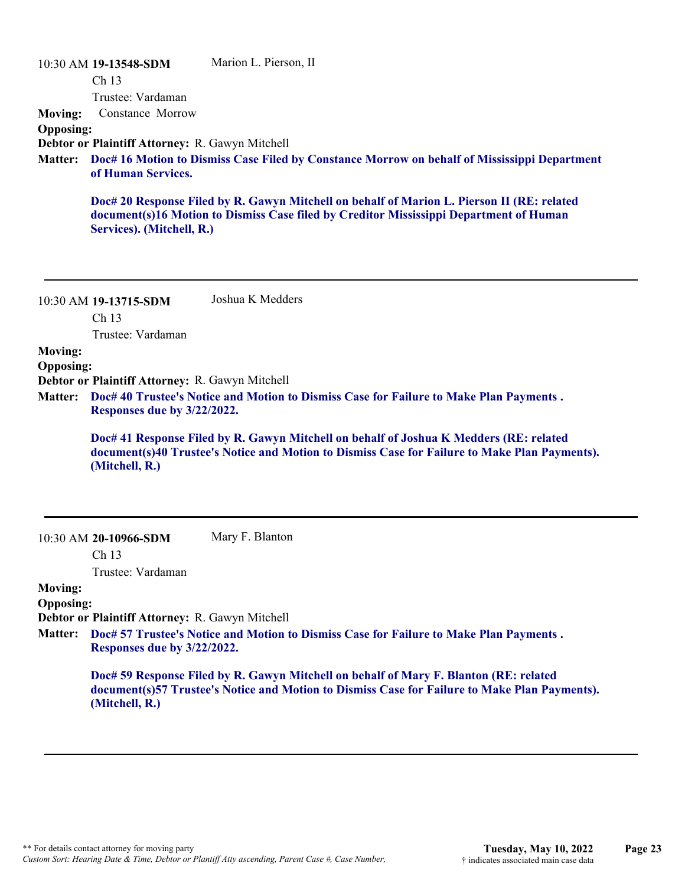| <b>Moving:</b>                     | 10:30 AM 19-13548-SDM<br>Ch <sub>13</sub><br>Trustee: Vardaman<br>Constance Morrow                                                                                    | Marion L. Pierson, II                                                                                                                                                                   |  |
|------------------------------------|-----------------------------------------------------------------------------------------------------------------------------------------------------------------------|-----------------------------------------------------------------------------------------------------------------------------------------------------------------------------------------|--|
| <b>Opposing:</b>                   |                                                                                                                                                                       |                                                                                                                                                                                         |  |
| <b>Matter:</b>                     | Debtor or Plaintiff Attorney: R. Gawyn Mitchell<br>Doc# 16 Motion to Dismiss Case Filed by Constance Morrow on behalf of Mississippi Department<br>of Human Services. |                                                                                                                                                                                         |  |
|                                    | Services). (Mitchell, R.)                                                                                                                                             | Doc# 20 Response Filed by R. Gawyn Mitchell on behalf of Marion L. Pierson II (RE: related<br>document(s)16 Motion to Dismiss Case filed by Creditor Mississippi Department of Human    |  |
|                                    |                                                                                                                                                                       |                                                                                                                                                                                         |  |
|                                    | 10:30 AM 19-13715-SDM                                                                                                                                                 | Joshua K Medders                                                                                                                                                                        |  |
|                                    | Ch <sub>13</sub>                                                                                                                                                      |                                                                                                                                                                                         |  |
|                                    | Trustee: Vardaman                                                                                                                                                     |                                                                                                                                                                                         |  |
| <b>Moving:</b><br><b>Opposing:</b> | Debtor or Plaintiff Attorney: R. Gawyn Mitchell                                                                                                                       |                                                                                                                                                                                         |  |
| <b>Matter:</b>                     | Responses due by 3/22/2022.                                                                                                                                           | Doc# 40 Trustee's Notice and Motion to Dismiss Case for Failure to Make Plan Payments.                                                                                                  |  |
|                                    | (Mitchell, R.)                                                                                                                                                        | Doc# 41 Response Filed by R. Gawyn Mitchell on behalf of Joshua K Medders (RE: related<br>document(s)40 Trustee's Notice and Motion to Dismiss Case for Failure to Make Plan Payments). |  |
|                                    |                                                                                                                                                                       |                                                                                                                                                                                         |  |

Mary F. Blanton

Ch 13 Trustee: Vardaman

**Moving:**

#### **Opposing:**

**Debtor or Plaintiff Attorney:** R. Gawyn Mitchell

**Doc# 57 Trustee's Notice and Motion to Dismiss Case for Failure to Make Plan Payments . Matter: Responses due by 3/22/2022.**

**Doc# 59 Response Filed by R. Gawyn Mitchell on behalf of Mary F. Blanton (RE: related document(s)57 Trustee's Notice and Motion to Dismiss Case for Failure to Make Plan Payments). (Mitchell, R.)**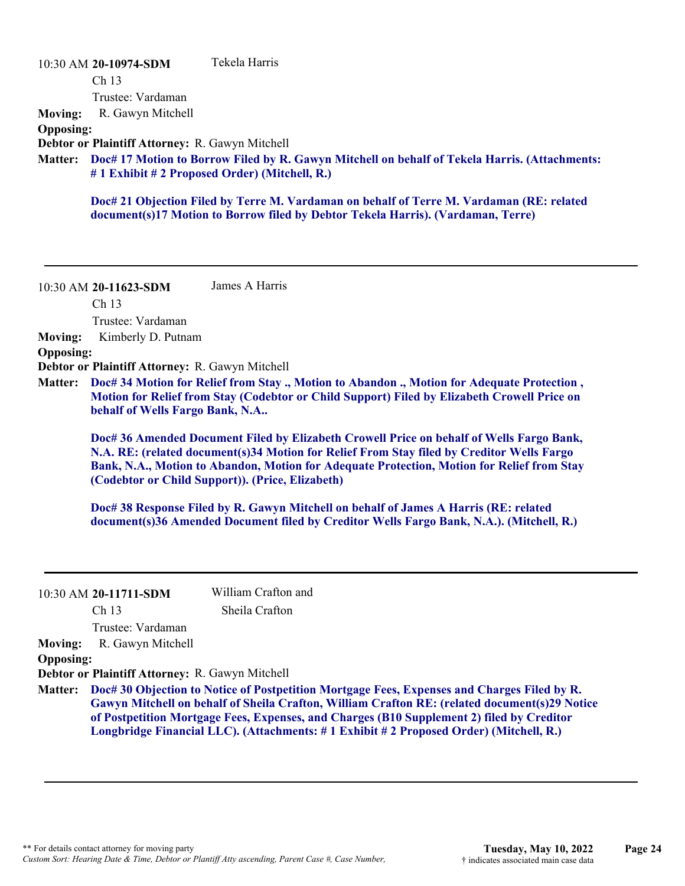| <b>Moving:</b><br><b>Opposing:</b><br><b>Matter:</b> | 10:30 AM 20-10974-SDM<br>Ch 13<br>Trustee: Vardaman<br>R. Gawyn Mitchell<br>Debtor or Plaintiff Attorney: R. Gawyn Mitchell                                     | Tekela Harris<br>Doc# 17 Motion to Borrow Filed by R. Gawyn Mitchell on behalf of Tekela Harris. (Attachments:<br>#1 Exhibit #2 Proposed Order) (Mitchell, R.)<br>Doc# 21 Objection Filed by Terre M. Vardaman on behalf of Terre M. Vardaman (RE: related<br>document(s)17 Motion to Borrow filed by Debtor Tekela Harris). (Vardaman, Terre)                                                                                                                                                                                                                                                                                                                                                                                            |
|------------------------------------------------------|-----------------------------------------------------------------------------------------------------------------------------------------------------------------|-------------------------------------------------------------------------------------------------------------------------------------------------------------------------------------------------------------------------------------------------------------------------------------------------------------------------------------------------------------------------------------------------------------------------------------------------------------------------------------------------------------------------------------------------------------------------------------------------------------------------------------------------------------------------------------------------------------------------------------------|
| <b>Moving:</b><br><b>Opposing:</b><br><b>Matter:</b> | 10:30 AM 20-11623-SDM<br>Ch 13<br>Trustee: Vardaman<br>Kimberly D. Putnam<br>Debtor or Plaintiff Attorney: R. Gawyn Mitchell<br>behalf of Wells Fargo Bank, N.A | James A Harris<br>Doc# 34 Motion for Relief from Stay., Motion to Abandon., Motion for Adequate Protection,<br>Motion for Relief from Stay (Codebtor or Child Support) Filed by Elizabeth Crowell Price on<br>Doc# 36 Amended Document Filed by Elizabeth Crowell Price on behalf of Wells Fargo Bank,<br>N.A. RE: (related document(s)34 Motion for Relief From Stay filed by Creditor Wells Fargo<br>Bank, N.A., Motion to Abandon, Motion for Adequate Protection, Motion for Relief from Stay<br>(Codebtor or Child Support)). (Price, Elizabeth)<br>Doc# 38 Response Filed by R. Gawyn Mitchell on behalf of James A Harris (RE: related<br>document(s)36 Amended Document filed by Creditor Wells Fargo Bank, N.A.). (Mitchell, R.) |
| <b>Moving:</b><br><b>Opposing:</b><br><b>Matter:</b> | 10:30 AM 20-11711-SDM<br>Ch <sub>13</sub><br>Trustee: Vardaman<br>R. Gawyn Mitchell<br>Debtor or Plaintiff Attorney: R. Gawyn Mitchell                          | William Crafton and<br>Sheila Crafton<br>Doc# 30 Objection to Notice of Postpetition Mortgage Fees, Expenses and Charges Filed by R.<br>Gawyn Mitchell on behalf of Sheila Crafton, William Crafton RE: (related document(s)29 Notice<br>of Postpetition Mortgage Fees, Expenses, and Charges (B10 Supplement 2) filed by Creditor<br>Longbridge Financial LLC). (Attachments: #1 Exhibit #2 Proposed Order) (Mitchell, R.)                                                                                                                                                                                                                                                                                                               |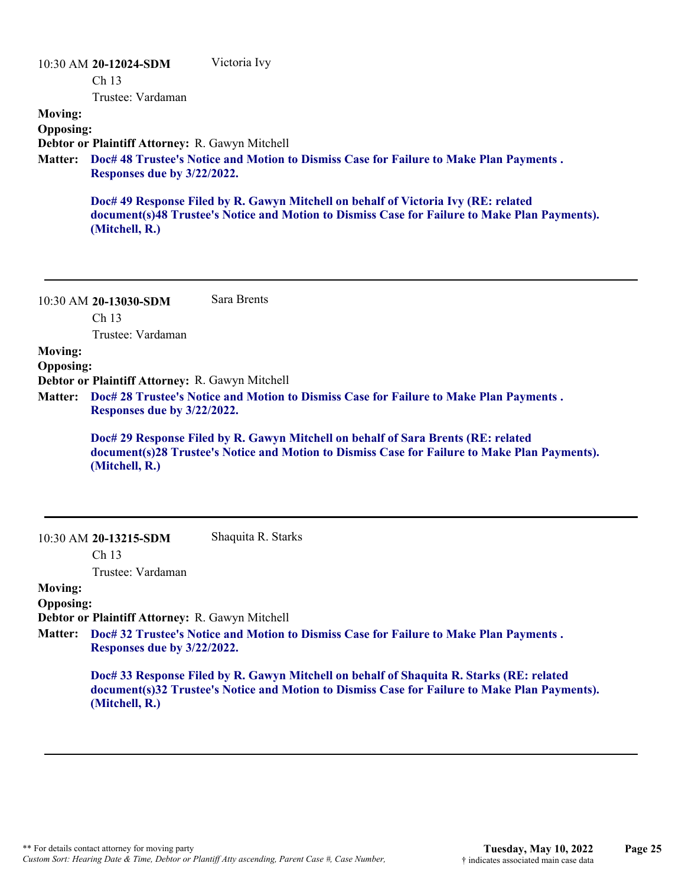|                  | $10:30$ AM 20-12024-SDM                                                                                               | Victoria Ivy                                                                                                                                                                        |  |
|------------------|-----------------------------------------------------------------------------------------------------------------------|-------------------------------------------------------------------------------------------------------------------------------------------------------------------------------------|--|
|                  | Ch <sub>13</sub>                                                                                                      |                                                                                                                                                                                     |  |
|                  | Trustee: Vardaman                                                                                                     |                                                                                                                                                                                     |  |
| <b>Moving:</b>   |                                                                                                                       |                                                                                                                                                                                     |  |
| <b>Opposing:</b> |                                                                                                                       |                                                                                                                                                                                     |  |
|                  | Debtor or Plaintiff Attorney: R. Gawyn Mitchell                                                                       |                                                                                                                                                                                     |  |
| <b>Matter:</b>   | Doc# 48 Trustee's Notice and Motion to Dismiss Case for Failure to Make Plan Payments.<br>Responses due by 3/22/2022. |                                                                                                                                                                                     |  |
|                  | (Mitchell, R.)                                                                                                        | Doc# 49 Response Filed by R. Gawyn Mitchell on behalf of Victoria Ivy (RE: related<br>document(s)48 Trustee's Notice and Motion to Dismiss Case for Failure to Make Plan Payments). |  |

10:30 AM **20-13030-SDM**  Ch 13 Sara Brents

Trustee: Vardaman

### **Moving:**

**Opposing:**

**Debtor or Plaintiff Attorney:** R. Gawyn Mitchell

**Doc# 28 Trustee's Notice and Motion to Dismiss Case for Failure to Make Plan Payments . Matter: Responses due by 3/22/2022.**

**Doc# 29 Response Filed by R. Gawyn Mitchell on behalf of Sara Brents (RE: related document(s)28 Trustee's Notice and Motion to Dismiss Case for Failure to Make Plan Payments). (Mitchell, R.)**

10:30 AM **20-13215-SDM** 

Ch 13

Shaquita R. Starks

Trustee: Vardaman

#### **Moving: Opposing:**

**Debtor or Plaintiff Attorney:** R. Gawyn Mitchell

**Doc# 32 Trustee's Notice and Motion to Dismiss Case for Failure to Make Plan Payments . Matter: Responses due by 3/22/2022.**

> **Doc# 33 Response Filed by R. Gawyn Mitchell on behalf of Shaquita R. Starks (RE: related document(s)32 Trustee's Notice and Motion to Dismiss Case for Failure to Make Plan Payments). (Mitchell, R.)**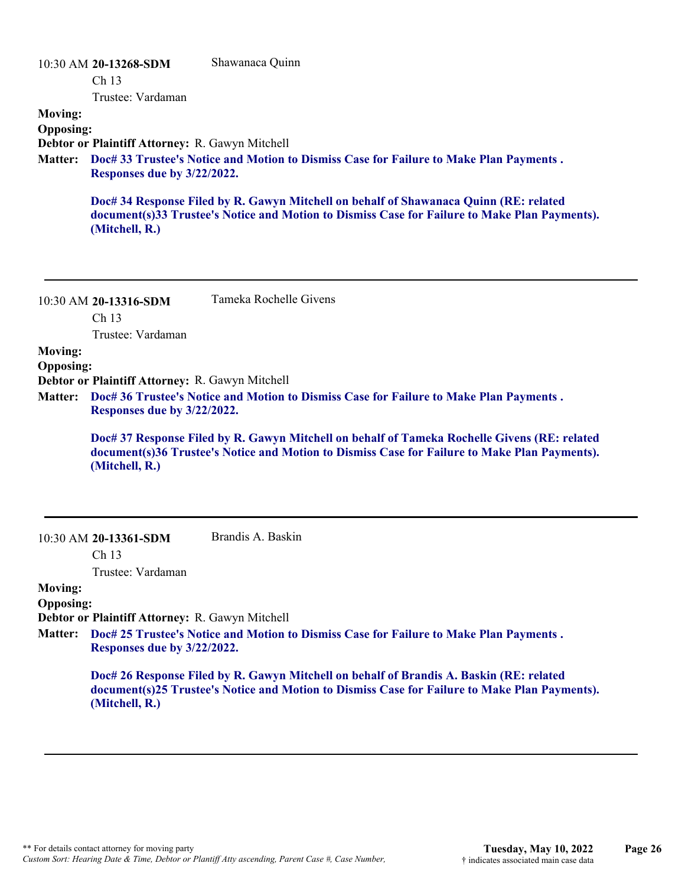#### 10:30 AM **20-13268-SDM**  Ch 13 Trustee: Vardaman Shawanaca Quinn **Moving: Opposing: Debtor or Plaintiff Attorney:** R. Gawyn Mitchell **Doc# 33 Trustee's Notice and Motion to Dismiss Case for Failure to Make Plan Payments . Matter: Responses due by 3/22/2022. Doc# 34 Response Filed by R. Gawyn Mitchell on behalf of Shawanaca Quinn (RE: related document(s)33 Trustee's Notice and Motion to Dismiss Case for Failure to Make Plan Payments). (Mitchell, R.)**

|                  | $10.30$ AM $20$ -13310-SDM                      | Tumona Inochene Orvens                                                                         |
|------------------|-------------------------------------------------|------------------------------------------------------------------------------------------------|
|                  | Ch <sub>13</sub>                                |                                                                                                |
|                  | Trustee: Vardaman                               |                                                                                                |
| <b>Moving:</b>   |                                                 |                                                                                                |
| <b>Opposing:</b> |                                                 |                                                                                                |
|                  | Debtor or Plaintiff Attorney: R. Gawyn Mitchell |                                                                                                |
|                  |                                                 | Matter: Doc# 36 Trustee's Notice and Motion to Dismiss Case for Failure to Make Plan Payments. |

Tameka Rochelle Givens

**Responses due by 3/22/2022.**

**Doc# 37 Response Filed by R. Gawyn Mitchell on behalf of Tameka Rochelle Givens (RE: related document(s)36 Trustee's Notice and Motion to Dismiss Case for Failure to Make Plan Payments). (Mitchell, R.)**

Ch 13

10:30 AM **20-13316-SDM** 

Brandis A. Baskin

Trustee: Vardaman

#### **Moving: Opposing:**

**Debtor or Plaintiff Attorney:** R. Gawyn Mitchell

**Doc# 25 Trustee's Notice and Motion to Dismiss Case for Failure to Make Plan Payments . Matter: Responses due by 3/22/2022.**

> **Doc# 26 Response Filed by R. Gawyn Mitchell on behalf of Brandis A. Baskin (RE: related document(s)25 Trustee's Notice and Motion to Dismiss Case for Failure to Make Plan Payments). (Mitchell, R.)**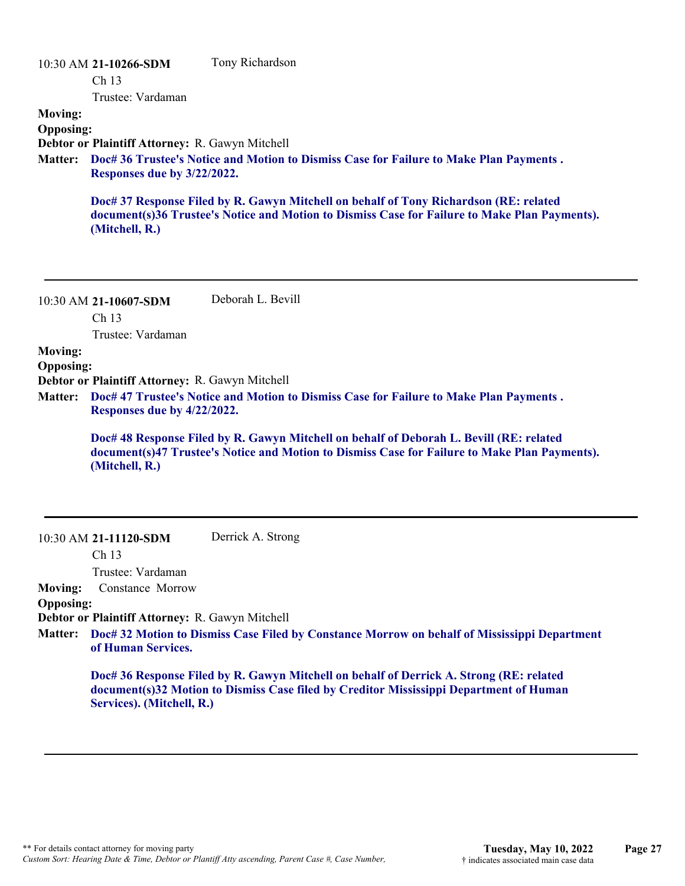|                  | 10:30 AM 21-10266-SDM                           | Tony Richardson                                                                                                                                                                        |
|------------------|-------------------------------------------------|----------------------------------------------------------------------------------------------------------------------------------------------------------------------------------------|
|                  | Ch <sub>13</sub>                                |                                                                                                                                                                                        |
|                  | Trustee: Vardaman                               |                                                                                                                                                                                        |
| <b>Moving:</b>   |                                                 |                                                                                                                                                                                        |
| <b>Opposing:</b> |                                                 |                                                                                                                                                                                        |
|                  | Debtor or Plaintiff Attorney: R. Gawyn Mitchell |                                                                                                                                                                                        |
| <b>Matter:</b>   | Responses due by 3/22/2022.                     | Doc# 36 Trustee's Notice and Motion to Dismiss Case for Failure to Make Plan Payments.                                                                                                 |
|                  | (Mitchell, R.)                                  | Doc# 37 Response Filed by R. Gawyn Mitchell on behalf of Tony Richardson (RE: related<br>document(s)36 Trustee's Notice and Motion to Dismiss Case for Failure to Make Plan Payments). |

| $10:30$ AM 21-10607-SDM | Deborah L. Bevill |
|-------------------------|-------------------|
| Ch <sub>13</sub>        |                   |
| Trustee: Vardaman       |                   |

**Moving:**

**Opposing:**

**Debtor or Plaintiff Attorney:** R. Gawyn Mitchell

**Doc# 47 Trustee's Notice and Motion to Dismiss Case for Failure to Make Plan Payments . Matter: Responses due by 4/22/2022.**

> **Doc# 48 Response Filed by R. Gawyn Mitchell on behalf of Deborah L. Bevill (RE: related document(s)47 Trustee's Notice and Motion to Dismiss Case for Failure to Make Plan Payments). (Mitchell, R.)**

#### 10:30 AM **21-11120-SDM**  Derrick A. Strong

Ch 13

Trustee: Vardaman

**Moving:** Constance Morrow

#### **Opposing:**

**Debtor or Plaintiff Attorney:** R. Gawyn Mitchell

**Doc# 32 Motion to Dismiss Case Filed by Constance Morrow on behalf of Mississippi Department Matter: of Human Services.**

**Doc# 36 Response Filed by R. Gawyn Mitchell on behalf of Derrick A. Strong (RE: related document(s)32 Motion to Dismiss Case filed by Creditor Mississippi Department of Human Services). (Mitchell, R.)**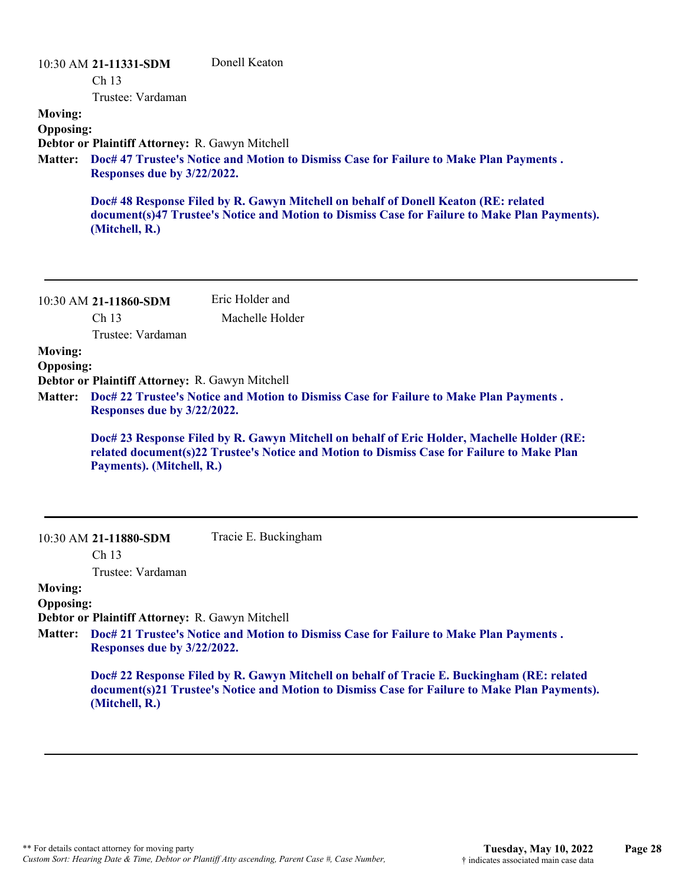| <b>Moving:</b><br><b>Opposing:</b><br>Debtor or Plaintiff Attorney: R. Gawyn Mitchell<br>Doc# 47 Trustee's Notice and Motion to Dismiss Case for Failure to Make Plan Payments.<br><b>Matter:</b><br>Responses due by 3/22/2022.<br>Doc# 48 Response Filed by R. Gawyn Mitchell on behalf of Donell Keaton (RE: related<br>document(s)47 Trustee's Notice and Motion to Dismiss Case for Failure to Make Plan Payments).<br>(Mitchell, R.)<br>Eric Holder and<br>10:30 AM 21-11860-SDM<br>Ch <sub>13</sub><br>Machelle Holder<br>Trustee: Vardaman<br><b>Moving:</b><br><b>Opposing:</b><br>Debtor or Plaintiff Attorney: R. Gawyn Mitchell<br>Doc# 22 Trustee's Notice and Motion to Dismiss Case for Failure to Make Plan Payments.<br><b>Matter:</b><br>Responses due by 3/22/2022.<br>Doc# 23 Response Filed by R. Gawyn Mitchell on behalf of Eric Holder, Machelle Holder (RE:<br>related document(s)22 Trustee's Notice and Motion to Dismiss Case for Failure to Make Plan<br>Payments). (Mitchell, R.)<br>Tracie E. Buckingham<br>10:30 AM 21-11880-SDM<br>Ch 13<br>Trustee: Vardaman | 10:30 AM 21-11331-SDM<br>Ch <sub>13</sub><br>Trustee: Vardaman |
|------------------------------------------------------------------------------------------------------------------------------------------------------------------------------------------------------------------------------------------------------------------------------------------------------------------------------------------------------------------------------------------------------------------------------------------------------------------------------------------------------------------------------------------------------------------------------------------------------------------------------------------------------------------------------------------------------------------------------------------------------------------------------------------------------------------------------------------------------------------------------------------------------------------------------------------------------------------------------------------------------------------------------------------------------------------------------------------------|----------------------------------------------------------------|
|                                                                                                                                                                                                                                                                                                                                                                                                                                                                                                                                                                                                                                                                                                                                                                                                                                                                                                                                                                                                                                                                                                |                                                                |
|                                                                                                                                                                                                                                                                                                                                                                                                                                                                                                                                                                                                                                                                                                                                                                                                                                                                                                                                                                                                                                                                                                |                                                                |
|                                                                                                                                                                                                                                                                                                                                                                                                                                                                                                                                                                                                                                                                                                                                                                                                                                                                                                                                                                                                                                                                                                |                                                                |
|                                                                                                                                                                                                                                                                                                                                                                                                                                                                                                                                                                                                                                                                                                                                                                                                                                                                                                                                                                                                                                                                                                |                                                                |
|                                                                                                                                                                                                                                                                                                                                                                                                                                                                                                                                                                                                                                                                                                                                                                                                                                                                                                                                                                                                                                                                                                |                                                                |
|                                                                                                                                                                                                                                                                                                                                                                                                                                                                                                                                                                                                                                                                                                                                                                                                                                                                                                                                                                                                                                                                                                |                                                                |
|                                                                                                                                                                                                                                                                                                                                                                                                                                                                                                                                                                                                                                                                                                                                                                                                                                                                                                                                                                                                                                                                                                |                                                                |
|                                                                                                                                                                                                                                                                                                                                                                                                                                                                                                                                                                                                                                                                                                                                                                                                                                                                                                                                                                                                                                                                                                |                                                                |
|                                                                                                                                                                                                                                                                                                                                                                                                                                                                                                                                                                                                                                                                                                                                                                                                                                                                                                                                                                                                                                                                                                |                                                                |
|                                                                                                                                                                                                                                                                                                                                                                                                                                                                                                                                                                                                                                                                                                                                                                                                                                                                                                                                                                                                                                                                                                |                                                                |
|                                                                                                                                                                                                                                                                                                                                                                                                                                                                                                                                                                                                                                                                                                                                                                                                                                                                                                                                                                                                                                                                                                |                                                                |
| <b>Moving:</b><br><b>Opposing:</b>                                                                                                                                                                                                                                                                                                                                                                                                                                                                                                                                                                                                                                                                                                                                                                                                                                                                                                                                                                                                                                                             |                                                                |
| Debtor or Plaintiff Attorney: R. Gawyn Mitchell                                                                                                                                                                                                                                                                                                                                                                                                                                                                                                                                                                                                                                                                                                                                                                                                                                                                                                                                                                                                                                                |                                                                |
| Doc# 21 Trustee's Notice and Motion to Dismiss Case for Failure to Make Plan Payments.<br><b>Matter:</b><br>Responses due by 3/22/2022.                                                                                                                                                                                                                                                                                                                                                                                                                                                                                                                                                                                                                                                                                                                                                                                                                                                                                                                                                        |                                                                |
| Doc# 22 Response Filed by R. Gawyn Mitchell on behalf of Tracie E. Buckingham (RE: related<br>document(s)21 Trustee's Notice and Motion to Dismiss Case for Failure to Make Plan Payments).<br>(Mitchell, R.)                                                                                                                                                                                                                                                                                                                                                                                                                                                                                                                                                                                                                                                                                                                                                                                                                                                                                  |                                                                |
|                                                                                                                                                                                                                                                                                                                                                                                                                                                                                                                                                                                                                                                                                                                                                                                                                                                                                                                                                                                                                                                                                                |                                                                |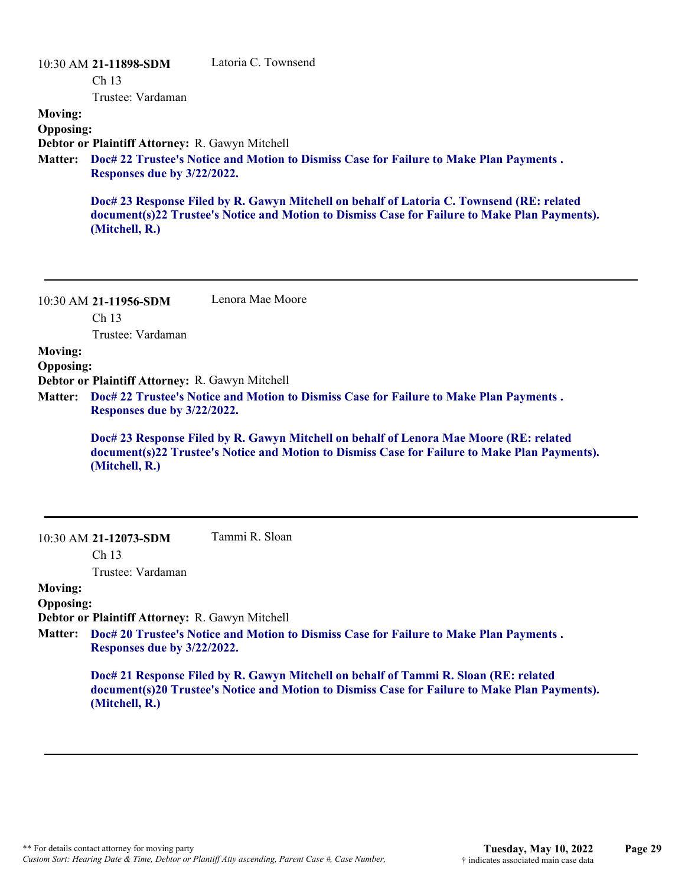|                  | 10:30 AM 21-11898-SDM<br>Ch <sub>13</sub>       | Latoria C. Townsend                                                                                                                                                                        |
|------------------|-------------------------------------------------|--------------------------------------------------------------------------------------------------------------------------------------------------------------------------------------------|
|                  | Trustee: Vardaman                               |                                                                                                                                                                                            |
| <b>Moving:</b>   |                                                 |                                                                                                                                                                                            |
| <b>Opposing:</b> |                                                 |                                                                                                                                                                                            |
|                  | Debtor or Plaintiff Attorney: R. Gawyn Mitchell |                                                                                                                                                                                            |
| <b>Matter:</b>   | Responses due by 3/22/2022.                     | Doc# 22 Trustee's Notice and Motion to Dismiss Case for Failure to Make Plan Payments.                                                                                                     |
|                  | (Mitchell, R.)                                  | Doc# 23 Response Filed by R. Gawyn Mitchell on behalf of Latoria C. Townsend (RE: related<br>document(s)22 Trustee's Notice and Motion to Dismiss Case for Failure to Make Plan Payments). |

| 10:30 AM 21-11956-SDM | Lenora Mae Moore |
|-----------------------|------------------|
| Ch <sub>13</sub>      |                  |

Trustee: Vardaman

### **Moving:**

**Opposing:**

**Debtor or Plaintiff Attorney:** R. Gawyn Mitchell

**Doc# 22 Trustee's Notice and Motion to Dismiss Case for Failure to Make Plan Payments . Matter: Responses due by 3/22/2022.**

> **Doc# 23 Response Filed by R. Gawyn Mitchell on behalf of Lenora Mae Moore (RE: related document(s)22 Trustee's Notice and Motion to Dismiss Case for Failure to Make Plan Payments). (Mitchell, R.)**

10:30 AM **21-12073-SDM**  Tammi R. Sloan

Ch 13

Trustee: Vardaman

#### **Moving: Opposing:**

**Debtor or Plaintiff Attorney:** R. Gawyn Mitchell

**Doc# 20 Trustee's Notice and Motion to Dismiss Case for Failure to Make Plan Payments . Matter: Responses due by 3/22/2022.**

> **Doc# 21 Response Filed by R. Gawyn Mitchell on behalf of Tammi R. Sloan (RE: related document(s)20 Trustee's Notice and Motion to Dismiss Case for Failure to Make Plan Payments). (Mitchell, R.)**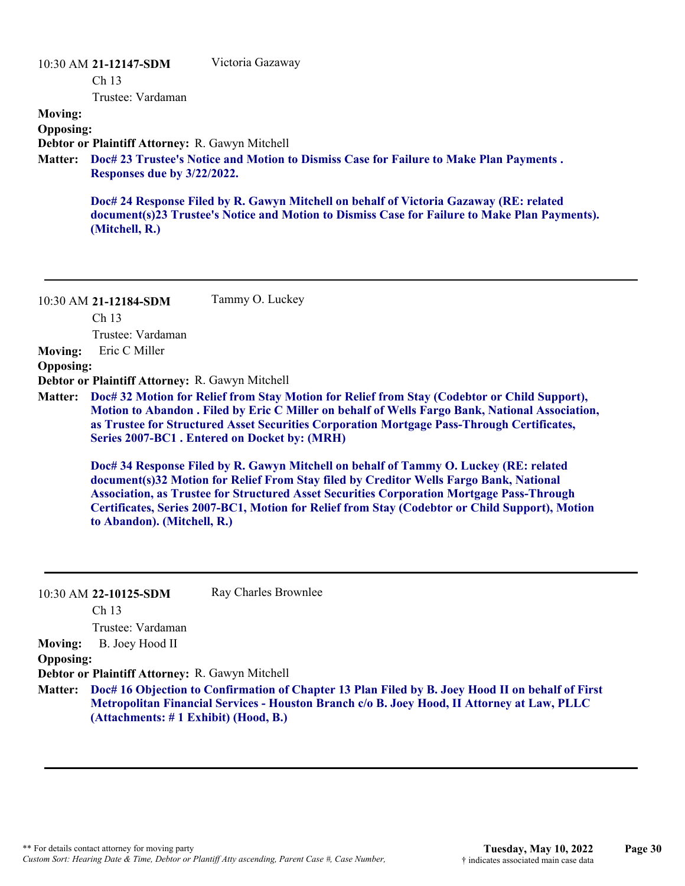#### 10:30 AM **21-12147-SDM**

Victoria Gazaway

Ch 13

Trustee: Vardaman

**Moving:**

**Opposing:**

**Debtor or Plaintiff Attorney:** R. Gawyn Mitchell

**Doc# 23 Trustee's Notice and Motion to Dismiss Case for Failure to Make Plan Payments . Matter: Responses due by 3/22/2022.**

**Doc# 24 Response Filed by R. Gawyn Mitchell on behalf of Victoria Gazaway (RE: related document(s)23 Trustee's Notice and Motion to Dismiss Case for Failure to Make Plan Payments). (Mitchell, R.)**

10:30 AM **21-12184-SDM**  Tammy O. Luckey

Ch 13

Trustee: Vardaman

**Moving:** Eric C Miller

**Opposing:**

**Debtor or Plaintiff Attorney:** R. Gawyn Mitchell

**Doc# 32 Motion for Relief from Stay Motion for Relief from Stay (Codebtor or Child Support), Matter: Motion to Abandon . Filed by Eric C Miller on behalf of Wells Fargo Bank, National Association, as Trustee for Structured Asset Securities Corporation Mortgage Pass-Through Certificates, Series 2007-BC1 . Entered on Docket by: (MRH)**

**Doc# 34 Response Filed by R. Gawyn Mitchell on behalf of Tammy O. Luckey (RE: related document(s)32 Motion for Relief From Stay filed by Creditor Wells Fargo Bank, National Association, as Trustee for Structured Asset Securities Corporation Mortgage Pass-Through Certificates, Series 2007-BC1, Motion for Relief from Stay (Codebtor or Child Support), Motion to Abandon). (Mitchell, R.)**

|                  | 10:30 AM 22-10125-SDM                                                                       | Ray Charles Brownlee                                                                                     |
|------------------|---------------------------------------------------------------------------------------------|----------------------------------------------------------------------------------------------------------|
|                  | Ch <sub>13</sub>                                                                            |                                                                                                          |
|                  | Trustee: Vardaman                                                                           |                                                                                                          |
| <b>Moving:</b>   | B. Joey Hood II                                                                             |                                                                                                          |
| <b>Opposing:</b> |                                                                                             |                                                                                                          |
|                  | Debtor or Plaintiff Attorney: R. Gawyn Mitchell                                             |                                                                                                          |
|                  |                                                                                             | Matter: Doc# 16 Objection to Confirmation of Chapter 13 Plan Filed by B. Joey Hood II on behalf of First |
|                  | Metropolitan Financial Services - Houston Branch c/o B. Joey Hood, II Attorney at Law, PLLC |                                                                                                          |
|                  | (Attachments: # 1 Exhibit) (Hood, B.)                                                       |                                                                                                          |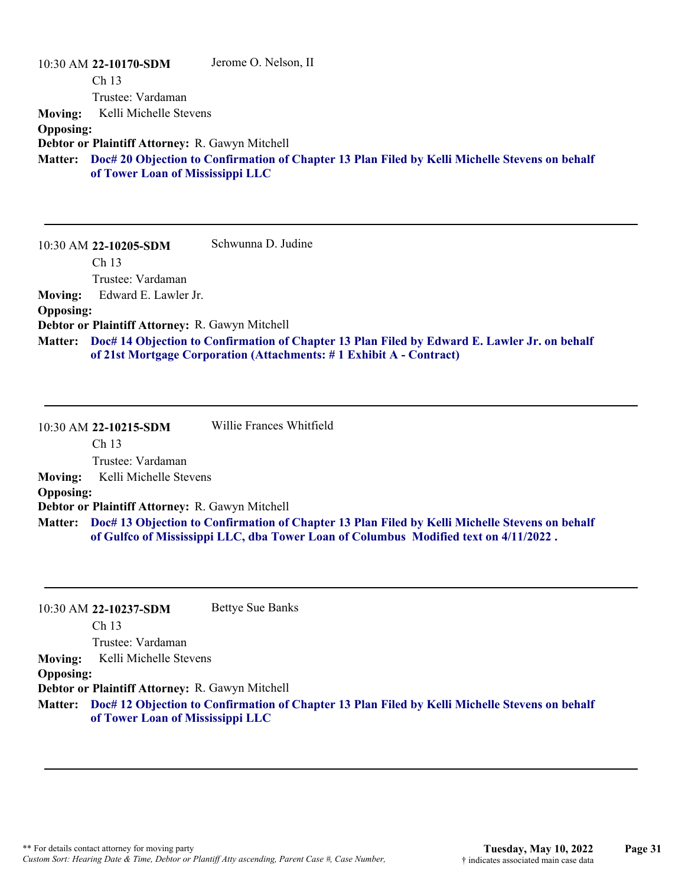|                  | 10:30 AM 22-10170-SDM                           | Jerome O. Nelson, II                                                                           |
|------------------|-------------------------------------------------|------------------------------------------------------------------------------------------------|
|                  | Ch <sub>13</sub>                                |                                                                                                |
|                  | Trustee: Vardaman                               |                                                                                                |
| Moving:          | Kelli Michelle Stevens                          |                                                                                                |
| <b>Opposing:</b> |                                                 |                                                                                                |
|                  | Debtor or Plaintiff Attorney: R. Gawyn Mitchell |                                                                                                |
| <b>Matter:</b>   | of Tower Loan of Mississippi LLC                | Doc# 20 Objection to Confirmation of Chapter 13 Plan Filed by Kelli Michelle Stevens on behalf |

10:30 AM **22-10205-SDM**  Ch 13 Trustee: Vardaman Schwunna D. Judine **Moving:** Edward E. Lawler Jr. **Opposing: Debtor or Plaintiff Attorney:** R. Gawyn Mitchell **Doc# 14 Objection to Confirmation of Chapter 13 Plan Filed by Edward E. Lawler Jr. on behalf Matter: of 21st Mortgage Corporation (Attachments: # 1 Exhibit A - Contract)**

10:30 AM **22-10215-SDM**  Ch 13 Trustee: Vardaman Willie Frances Whitfield **Moving:** Kelli Michelle Stevens **Opposing: Debtor or Plaintiff Attorney:** R. Gawyn Mitchell **Doc# 13 Objection to Confirmation of Chapter 13 Plan Filed by Kelli Michelle Stevens on behalf Matter: of Gulfco of Mississippi LLC, dba Tower Loan of Columbus Modified text on 4/11/2022 .**

|                  | 10:30 AM 22-10237-SDM                           | <b>Bettye Sue Banks</b>                                                                        |
|------------------|-------------------------------------------------|------------------------------------------------------------------------------------------------|
|                  | Ch <sub>13</sub>                                |                                                                                                |
|                  | Trustee: Vardaman                               |                                                                                                |
| <b>Moving:</b>   | Kelli Michelle Stevens                          |                                                                                                |
| <b>Opposing:</b> |                                                 |                                                                                                |
|                  | Debtor or Plaintiff Attorney: R. Gawyn Mitchell |                                                                                                |
| <b>Matter:</b>   |                                                 | Doc# 12 Objection to Confirmation of Chapter 13 Plan Filed by Kelli Michelle Stevens on behalf |
|                  | of Tower Loan of Mississippi LLC                |                                                                                                |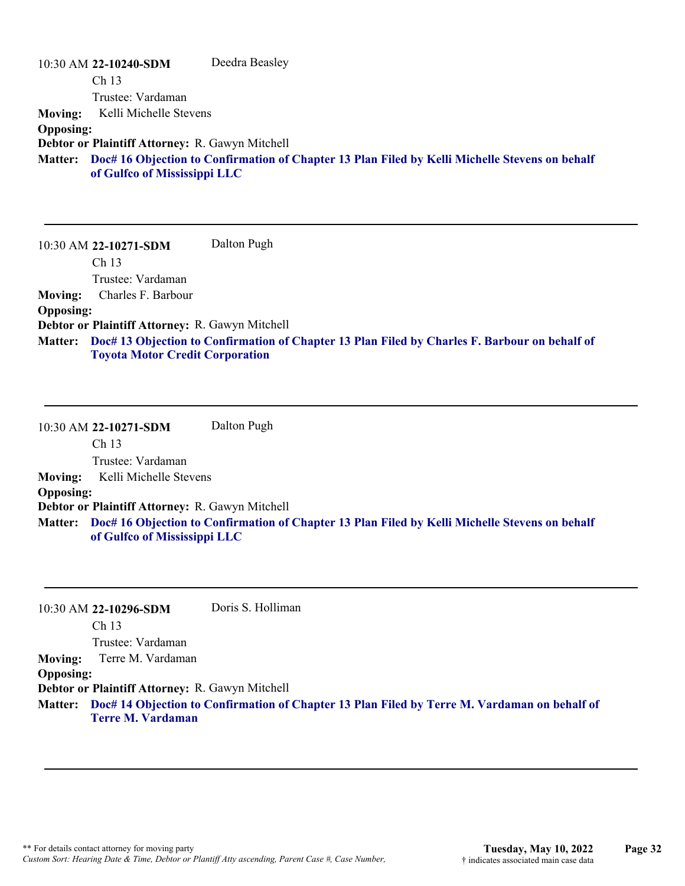|                  | 10:30 AM 22-10240-SDM                           | Deedra Beasley                                                                                 |
|------------------|-------------------------------------------------|------------------------------------------------------------------------------------------------|
|                  | Ch <sub>13</sub>                                |                                                                                                |
|                  | Trustee: Vardaman                               |                                                                                                |
| <b>Moving:</b>   | Kelli Michelle Stevens                          |                                                                                                |
| <b>Opposing:</b> |                                                 |                                                                                                |
|                  | Debtor or Plaintiff Attorney: R. Gawyn Mitchell |                                                                                                |
| <b>Matter:</b>   | of Gulfco of Mississippi LLC                    | Doc# 16 Objection to Confirmation of Chapter 13 Plan Filed by Kelli Michelle Stevens on behalf |

10:30 AM **22-10271-SDM**  Ch 13 Trustee: Vardaman Dalton Pugh **Moving:** Charles F. Barbour **Opposing: Debtor or Plaintiff Attorney:** R. Gawyn Mitchell **Doc# 13 Objection to Confirmation of Chapter 13 Plan Filed by Charles F. Barbour on behalf of Matter: Toyota Motor Credit Corporation**

10:30 AM **22-10271-SDM**  Ch 13 Trustee: Vardaman Dalton Pugh **Moving:** Kelli Michelle Stevens **Opposing: Debtor or Plaintiff Attorney:** R. Gawyn Mitchell **Doc# 16 Objection to Confirmation of Chapter 13 Plan Filed by Kelli Michelle Stevens on behalf Matter: of Gulfco of Mississippi LLC**

|                  | 10:30 AM 22-10296-SDM                           | Doris S. Holliman                                                                                    |
|------------------|-------------------------------------------------|------------------------------------------------------------------------------------------------------|
|                  | Ch <sub>13</sub>                                |                                                                                                      |
|                  | Trustee: Vardaman                               |                                                                                                      |
|                  | Moving: Terre M. Vardaman                       |                                                                                                      |
| <b>Opposing:</b> |                                                 |                                                                                                      |
|                  | Debtor or Plaintiff Attorney: R. Gawyn Mitchell |                                                                                                      |
|                  |                                                 | Matter: Doc# 14 Objection to Confirmation of Chapter 13 Plan Filed by Terre M. Vardaman on behalf of |
|                  | <b>Terre M. Vardaman</b>                        |                                                                                                      |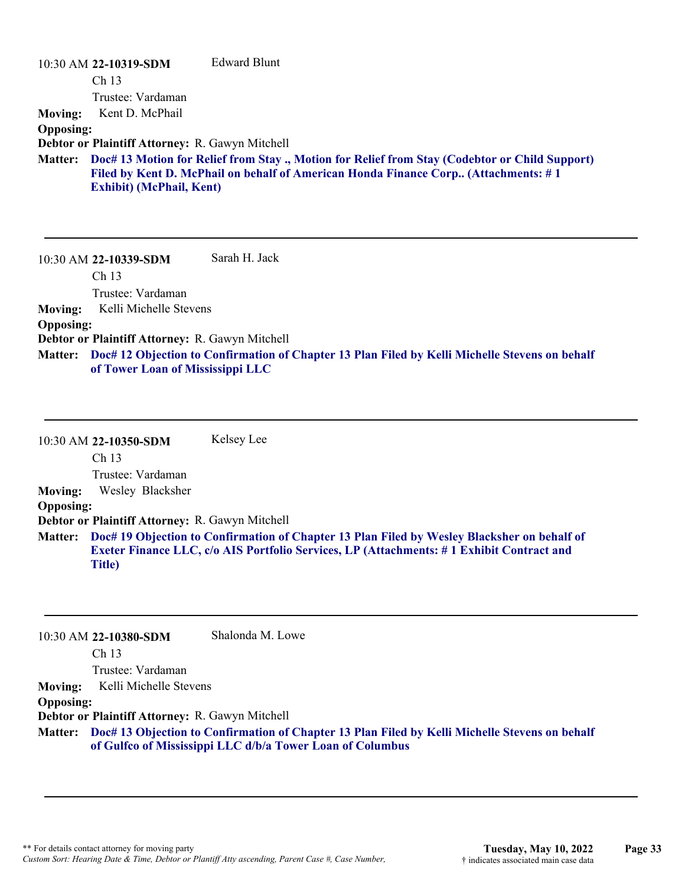|                  | $10:30$ AM 22-10319-SDM                         | Edward Blunt                                                                                                                                                                         |
|------------------|-------------------------------------------------|--------------------------------------------------------------------------------------------------------------------------------------------------------------------------------------|
|                  | Ch <sub>13</sub>                                |                                                                                                                                                                                      |
|                  | Trustee: Vardaman                               |                                                                                                                                                                                      |
| <b>Moving:</b>   | Kent D. McPhail                                 |                                                                                                                                                                                      |
| <b>Opposing:</b> |                                                 |                                                                                                                                                                                      |
|                  | Debtor or Plaintiff Attorney: R. Gawyn Mitchell |                                                                                                                                                                                      |
| <b>Matter:</b>   | <b>Exhibit) (McPhail, Kent)</b>                 | Doc# 13 Motion for Relief from Stay ., Motion for Relief from Stay (Codebtor or Child Support)<br>Filed by Kent D. McPhail on behalf of American Honda Finance Corp (Attachments: #1 |
|                  | $10:30$ AM 22-10339-SDM                         | Sarah H. Jack                                                                                                                                                                        |

Ch 13

Trustee: Vardaman **Moving:** Kelli Michelle Stevens

#### **Opposing:**

**Debtor or Plaintiff Attorney:** R. Gawyn Mitchell

**Doc# 12 Objection to Confirmation of Chapter 13 Plan Filed by Kelli Michelle Stevens on behalf Matter: of Tower Loan of Mississippi LLC**

10:30 AM **22-10350-SDM**  Ch 13 Trustee: Vardaman Kelsey Lee **Moving:** Wesley Blacksher **Opposing: Debtor or Plaintiff Attorney:** R. Gawyn Mitchell **Doc# 19 Objection to Confirmation of Chapter 13 Plan Filed by Wesley Blacksher on behalf of Matter: Exeter Finance LLC, c/o AIS Portfolio Services, LP (Attachments: # 1 Exhibit Contract and Title)**

|                  | 10:30 AM 22-10380-SDM                                  | Shalonda M. Lowe                                                                                                                                                    |
|------------------|--------------------------------------------------------|---------------------------------------------------------------------------------------------------------------------------------------------------------------------|
|                  | Ch <sub>13</sub>                                       |                                                                                                                                                                     |
|                  | Trustee: Vardaman                                      |                                                                                                                                                                     |
| <b>Moving:</b>   | Kelli Michelle Stevens                                 |                                                                                                                                                                     |
| <b>Opposing:</b> |                                                        |                                                                                                                                                                     |
|                  | <b>Debtor or Plaintiff Attorney: R. Gawyn Mitchell</b> |                                                                                                                                                                     |
|                  |                                                        | Matter: Doc# 13 Objection to Confirmation of Chapter 13 Plan Filed by Kelli Michelle Stevens on behalf<br>of Gulfco of Mississippi LLC d/b/a Tower Loan of Columbus |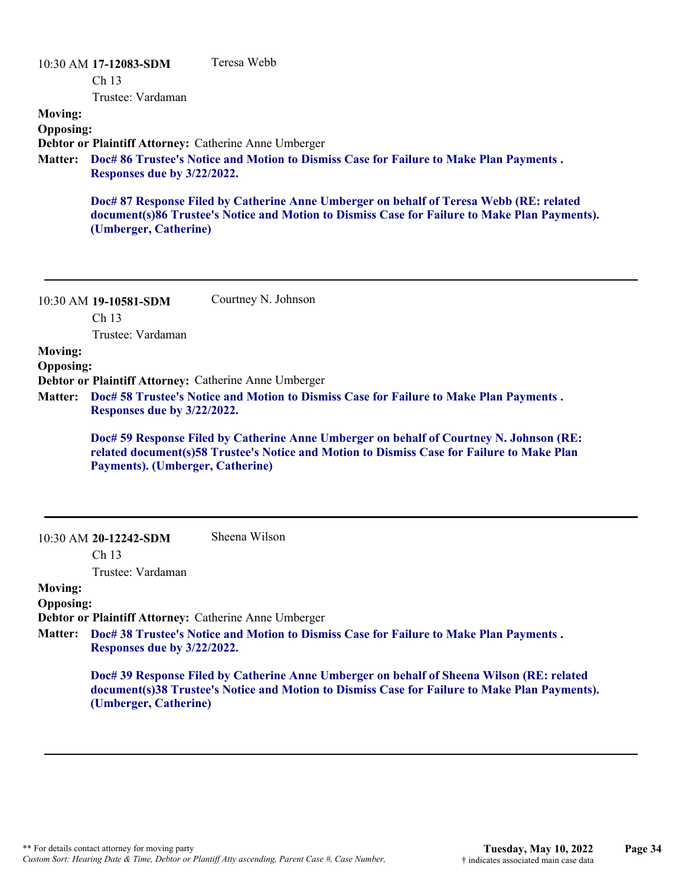|                                    | 10:30 AM 17-12083-SDM       | Teresa Webb                                                                                                                                                                              |
|------------------------------------|-----------------------------|------------------------------------------------------------------------------------------------------------------------------------------------------------------------------------------|
|                                    | Ch <sub>13</sub>            |                                                                                                                                                                                          |
|                                    | Trustee: Vardaman           |                                                                                                                                                                                          |
| <b>Moving:</b><br><b>Opposing:</b> |                             |                                                                                                                                                                                          |
|                                    |                             | Debtor or Plaintiff Attorney: Catherine Anne Umberger                                                                                                                                    |
| <b>Matter:</b>                     | Responses due by 3/22/2022. | Doc# 86 Trustee's Notice and Motion to Dismiss Case for Failure to Make Plan Payments.                                                                                                   |
|                                    | (Umberger, Catherine)       | Doc# 87 Response Filed by Catherine Anne Umberger on behalf of Teresa Webb (RE: related<br>document(s)86 Trustee's Notice and Motion to Dismiss Case for Failure to Make Plan Payments). |
|                                    | 10:30 AM 19-10581-SDM       | Courtney N. Johnson                                                                                                                                                                      |
|                                    | Ch 13                       |                                                                                                                                                                                          |
|                                    | Trustee: Vardaman           |                                                                                                                                                                                          |
| <b>Moving:</b>                     |                             |                                                                                                                                                                                          |
| <b>Opposing:</b>                   |                             |                                                                                                                                                                                          |
| <b>Matter:</b>                     | Responses due by 3/22/2022. | Debtor or Plaintiff Attorney: Catherine Anne Umberger<br>Doc# 58 Trustee's Notice and Motion to Dismiss Case for Failure to Make Plan Payments.                                          |

**Doc# 59 Response Filed by Catherine Anne Umberger on behalf of Courtney N. Johnson (RE: related document(s)58 Trustee's Notice and Motion to Dismiss Case for Failure to Make Plan Payments). (Umberger, Catherine)**

10:30 AM **20-12242-SDM**  Sheena Wilson

Ch 13

Trustee: Vardaman

## **Moving:**

**Opposing:**

**Debtor or Plaintiff Attorney:** Catherine Anne Umberger

**Doc# 38 Trustee's Notice and Motion to Dismiss Case for Failure to Make Plan Payments . Matter: Responses due by 3/22/2022.**

**Doc# 39 Response Filed by Catherine Anne Umberger on behalf of Sheena Wilson (RE: related document(s)38 Trustee's Notice and Motion to Dismiss Case for Failure to Make Plan Payments). (Umberger, Catherine)**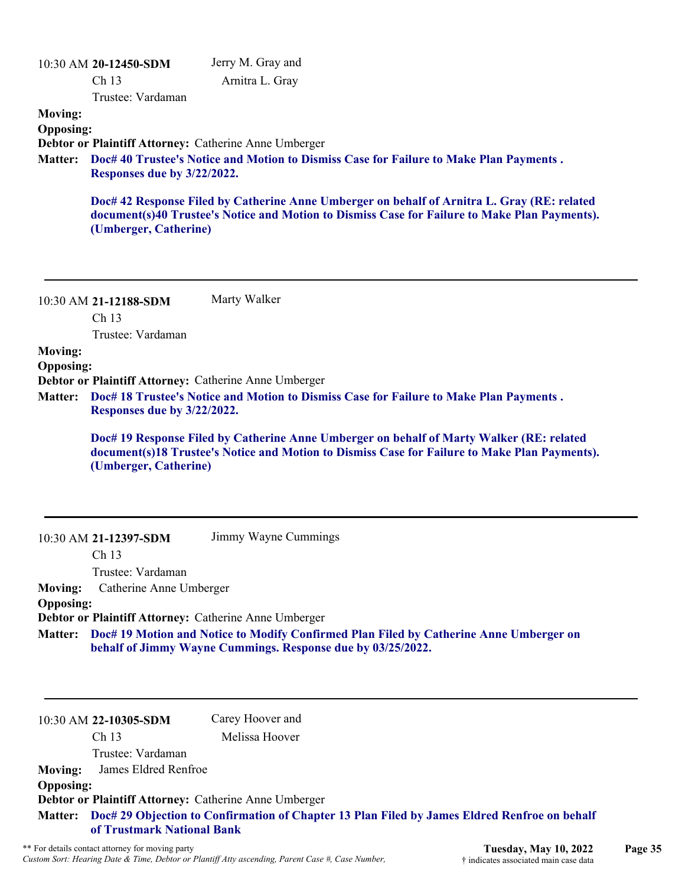|                  | 10:30 AM 20-12450-SDM                                                                                                                                                          | Jerry M. Gray and                                                                                                                                                                            |  |
|------------------|--------------------------------------------------------------------------------------------------------------------------------------------------------------------------------|----------------------------------------------------------------------------------------------------------------------------------------------------------------------------------------------|--|
|                  | Ch 13                                                                                                                                                                          | Arnitra L. Gray                                                                                                                                                                              |  |
|                  | Trustee: Vardaman                                                                                                                                                              |                                                                                                                                                                                              |  |
| <b>Moving:</b>   |                                                                                                                                                                                |                                                                                                                                                                                              |  |
| <b>Opposing:</b> |                                                                                                                                                                                |                                                                                                                                                                                              |  |
| <b>Matter:</b>   | Debtor or Plaintiff Attorney: Catherine Anne Umberger<br>Doc# 40 Trustee's Notice and Motion to Dismiss Case for Failure to Make Plan Payments.<br>Responses due by 3/22/2022. |                                                                                                                                                                                              |  |
|                  | (Umberger, Catherine)                                                                                                                                                          | Doc# 42 Response Filed by Catherine Anne Umberger on behalf of Arnitra L. Gray (RE: related<br>document(s)40 Trustee's Notice and Motion to Dismiss Case for Failure to Make Plan Payments). |  |
|                  | 10:30 AM 21-12188-SDM<br>Ch 13<br>Trustee: Vardaman                                                                                                                            | Marty Walker                                                                                                                                                                                 |  |
| <b>Moving:</b>   |                                                                                                                                                                                |                                                                                                                                                                                              |  |
| <b>Opposing:</b> |                                                                                                                                                                                |                                                                                                                                                                                              |  |
|                  |                                                                                                                                                                                | Debtor or Plaintiff Attorney: Catherine Anne Umberger                                                                                                                                        |  |
| <b>Matter:</b>   | Responses due by 3/22/2022.                                                                                                                                                    | Doc# 18 Trustee's Notice and Motion to Dismiss Case for Failure to Make Plan Payments.                                                                                                       |  |
|                  | (Umberger, Catherine)                                                                                                                                                          | Doc# 19 Response Filed by Catherine Anne Umberger on behalf of Marty Walker (RE: related<br>document(s)18 Trustee's Notice and Motion to Dismiss Case for Failure to Make Plan Payments).    |  |
|                  | 10:30 AM 21-12397-SDM                                                                                                                                                          | Jimmy Wayne Cummings                                                                                                                                                                         |  |
|                  | Ch <sub>13</sub>                                                                                                                                                               |                                                                                                                                                                                              |  |
| <b>Moving:</b>   | Trustee: Vardaman<br>Catherine Anne Umberger                                                                                                                                   |                                                                                                                                                                                              |  |
| <b>Opposing:</b> |                                                                                                                                                                                |                                                                                                                                                                                              |  |
|                  |                                                                                                                                                                                | Debtor or Plaintiff Attorney: Catherine Anne Umberger                                                                                                                                        |  |
| <b>Matter:</b>   | Doc# 19 Motion and Notice to Modify Confirmed Plan Filed by Catherine Anne Umberger on<br>behalf of Jimmy Wayne Cummings. Response due by 03/25/2022.                          |                                                                                                                                                                                              |  |
|                  |                                                                                                                                                                                |                                                                                                                                                                                              |  |
|                  | 10:30 AM 22-10305-SDM                                                                                                                                                          | Carey Hoover and                                                                                                                                                                             |  |
|                  |                                                                                                                                                                                |                                                                                                                                                                                              |  |
|                  | Ch 13                                                                                                                                                                          | Melissa Hoover                                                                                                                                                                               |  |
|                  | Trustee: Vardaman                                                                                                                                                              |                                                                                                                                                                                              |  |
| <b>Moving:</b>   | James Eldred Renfroe                                                                                                                                                           |                                                                                                                                                                                              |  |
| <b>Opposing:</b> |                                                                                                                                                                                | Debtor or Plaintiff Attorney: Catherine Anne Umberger                                                                                                                                        |  |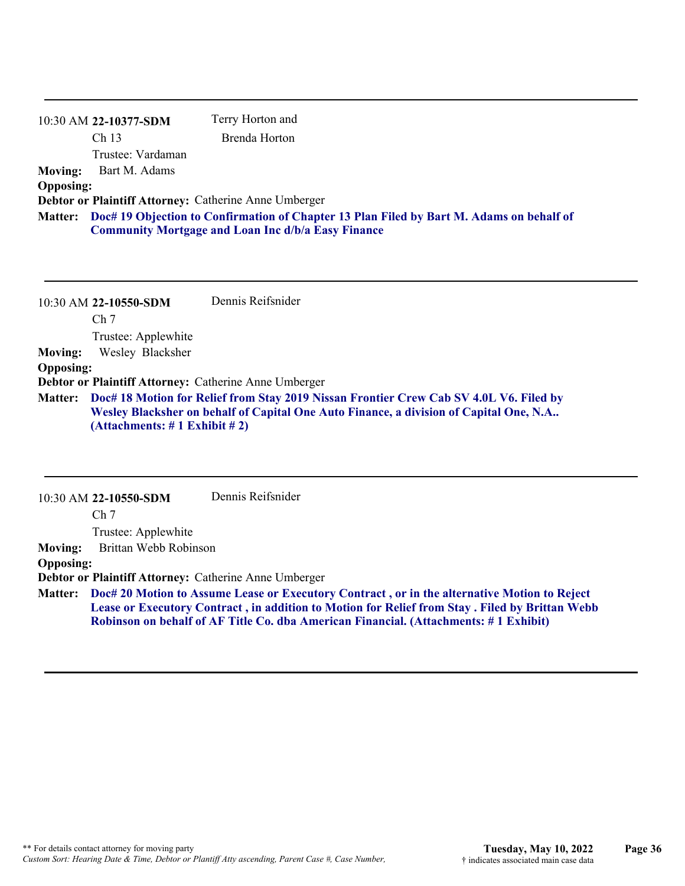|                                                       | 10:30 AM 22-10377-SDM                                                                                                                                         | Terry Horton and |  |
|-------------------------------------------------------|---------------------------------------------------------------------------------------------------------------------------------------------------------------|------------------|--|
|                                                       | Ch <sub>13</sub>                                                                                                                                              | Brenda Horton    |  |
|                                                       | Trustee: Vardaman                                                                                                                                             |                  |  |
| <b>Moving:</b>                                        | Bart M. Adams                                                                                                                                                 |                  |  |
| <b>Opposing:</b>                                      |                                                                                                                                                               |                  |  |
| Debtor or Plaintiff Attorney: Catherine Anne Umberger |                                                                                                                                                               |                  |  |
|                                                       | Matter: Doc# 19 Objection to Confirmation of Chapter 13 Plan Filed by Bart M. Adams on behalf of<br><b>Community Mortgage and Loan Inc d/b/a Easy Finance</b> |                  |  |

|                  | 10:30 AM 22-10550-SDM                 | Dennis Reifsnider                                                                                                                                                                        |
|------------------|---------------------------------------|------------------------------------------------------------------------------------------------------------------------------------------------------------------------------------------|
|                  | Ch <sub>7</sub>                       |                                                                                                                                                                                          |
|                  | Trustee: Applewhite                   |                                                                                                                                                                                          |
| <b>Moving:</b>   | Wesley Blacksher                      |                                                                                                                                                                                          |
| <b>Opposing:</b> |                                       |                                                                                                                                                                                          |
|                  |                                       | Debtor or Plaintiff Attorney: Catherine Anne Umberger                                                                                                                                    |
|                  | (Attachments: $\# 1$ Exhibit $\# 2$ ) | Matter: Doc# 18 Motion for Relief from Stay 2019 Nissan Frontier Crew Cab SV 4.0L V6. Filed by<br>Wesley Blacksher on behalf of Capital One Auto Finance, a division of Capital One, N.A |

10:30 AM **22-10550-SDM**  Dennis Reifsnider

Ch 7

Trustee: Applewhite

**Moving:** Brittan Webb Robinson

**Opposing:**

**Debtor or Plaintiff Attorney:** Catherine Anne Umberger

**Doc# 20 Motion to Assume Lease or Executory Contract , or in the alternative Motion to Reject Matter: Lease or Executory Contract , in addition to Motion for Relief from Stay . Filed by Brittan Webb Robinson on behalf of AF Title Co. dba American Financial. (Attachments: # 1 Exhibit)**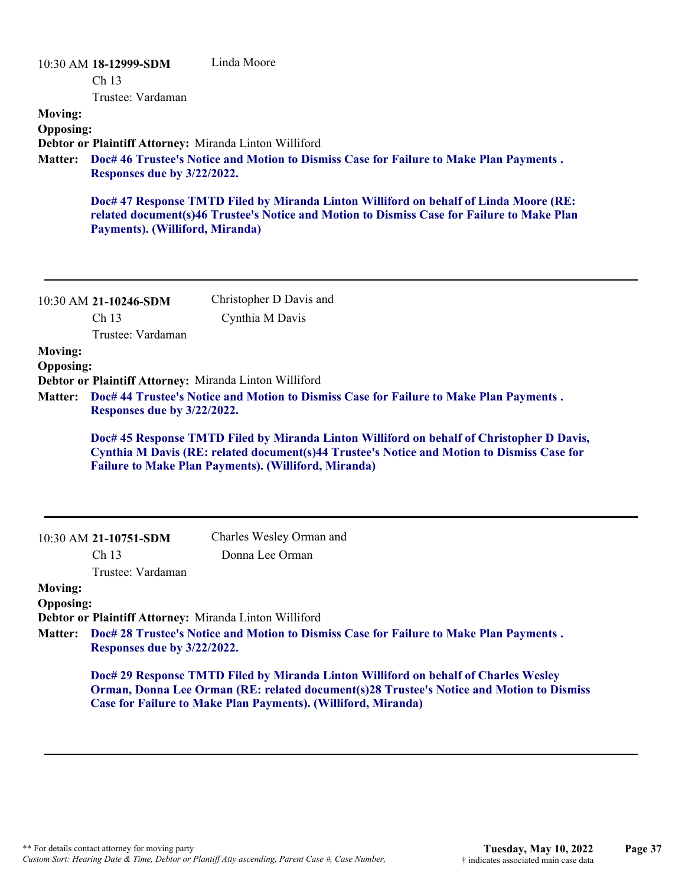| <b>Moving:</b><br><b>Opposing:</b><br><b>Matter:</b> | 10:30 AM 18-12999-SDM<br>Ch 13<br>Trustee: Vardaman<br>Debtor or Plaintiff Attorney: Miranda Linton Williford<br>Responses due by 3/22/2022.<br>Payments). (Williford, Miranda) | Linda Moore<br>Doc# 46 Trustee's Notice and Motion to Dismiss Case for Failure to Make Plan Payments.<br>Doc# 47 Response TMTD Filed by Miranda Linton Williford on behalf of Linda Moore (RE:<br>related document(s)46 Trustee's Notice and Motion to Dismiss Case for Failure to Make Plan                                                                                                     |
|------------------------------------------------------|---------------------------------------------------------------------------------------------------------------------------------------------------------------------------------|--------------------------------------------------------------------------------------------------------------------------------------------------------------------------------------------------------------------------------------------------------------------------------------------------------------------------------------------------------------------------------------------------|
| <b>Moving:</b><br><b>Opposing:</b><br><b>Matter:</b> | 10:30 AM 21-10246-SDM<br>Ch <sub>13</sub><br>Trustee: Vardaman<br>Debtor or Plaintiff Attorney: Miranda Linton Williford<br>Responses due by 3/22/2022.                         | Christopher D Davis and<br>Cynthia M Davis<br>Doc# 44 Trustee's Notice and Motion to Dismiss Case for Failure to Make Plan Payments.<br>Doc# 45 Response TMTD Filed by Miranda Linton Williford on behalf of Christopher D Davis,<br>Cynthia M Davis (RE: related document(s)44 Trustee's Notice and Motion to Dismiss Case for<br><b>Failure to Make Plan Payments). (Williford, Miranda)</b>   |
| <b>Moving:</b><br><b>Opposing:</b><br><b>Matter:</b> | 10:30 AM 21-10751-SDM<br>Ch 13<br>Trustee: Vardaman<br>Debtor or Plaintiff Attorney: Miranda Linton Williford<br>Responses due by 3/22/2022.                                    | Charles Wesley Orman and<br>Donna Lee Orman<br>Doc# 28 Trustee's Notice and Motion to Dismiss Case for Failure to Make Plan Payments.<br>Doc# 29 Response TMTD Filed by Miranda Linton Williford on behalf of Charles Wesley<br>Orman, Donna Lee Orman (RE: related document(s)28 Trustee's Notice and Motion to Dismiss<br><b>Case for Failure to Make Plan Payments). (Williford, Miranda)</b> |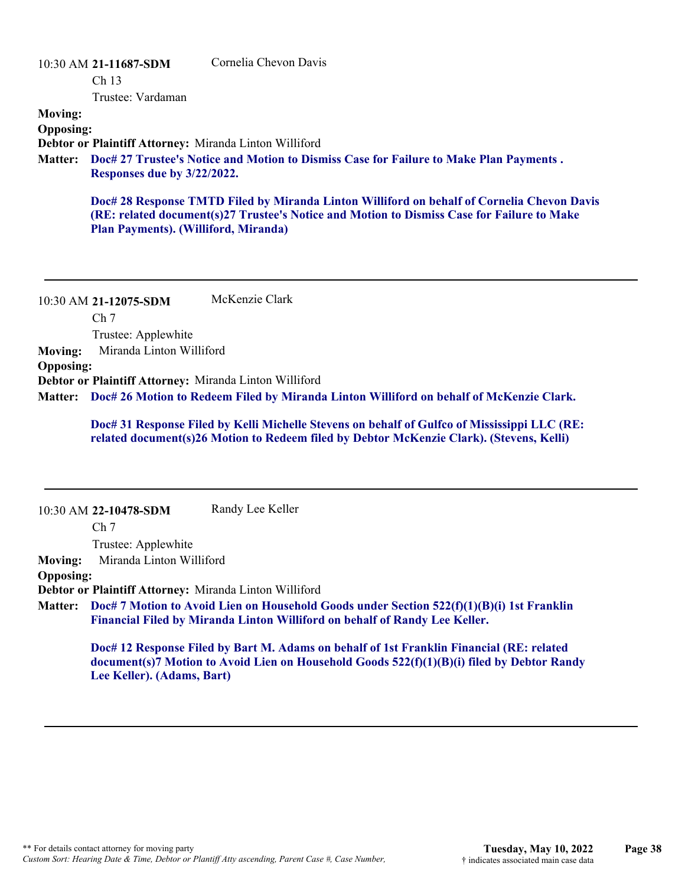10:30 AM **21-11687-SDM** 

Cornelia Chevon Davis

Ch 13

Trustee: Vardaman

**Moving:**

**Opposing:**

**Debtor or Plaintiff Attorney:** Miranda Linton Williford

**Doc# 27 Trustee's Notice and Motion to Dismiss Case for Failure to Make Plan Payments . Matter: Responses due by 3/22/2022.**

**Doc# 28 Response TMTD Filed by Miranda Linton Williford on behalf of Cornelia Chevon Davis (RE: related document(s)27 Trustee's Notice and Motion to Dismiss Case for Failure to Make Plan Payments). (Williford, Miranda)**

10:30 AM **21-12075-SDM**  Ch 7 Trustee: Applewhite McKenzie Clark **Moving:** Miranda Linton Williford **Opposing: Debtor or Plaintiff Attorney:** Miranda Linton Williford **Doc# 26 Motion to Redeem Filed by Miranda Linton Williford on behalf of McKenzie Clark. Matter:**

**Doc# 31 Response Filed by Kelli Michelle Stevens on behalf of Gulfco of Mississippi LLC (RE: related document(s)26 Motion to Redeem filed by Debtor McKenzie Clark). (Stevens, Kelli)**

10:30 AM **22-10478-SDM**   $Ch<sub>7</sub>$ Trustee: Applewhite Randy Lee Keller **Moving:** Miranda Linton Williford **Opposing: Debtor or Plaintiff Attorney:** Miranda Linton Williford **Doc# 7 Motion to Avoid Lien on Household Goods under Section 522(f)(1)(B)(i) 1st Franklin Matter: Financial Filed by Miranda Linton Williford on behalf of Randy Lee Keller. Doc# 12 Response Filed by Bart M. Adams on behalf of 1st Franklin Financial (RE: related**

**document(s)7 Motion to Avoid Lien on Household Goods 522(f)(1)(B)(i) filed by Debtor Randy Lee Keller). (Adams, Bart)**